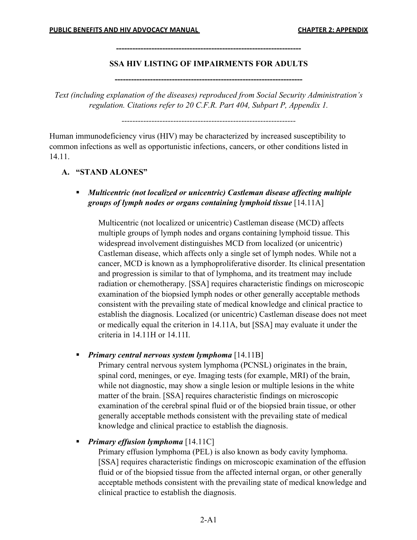## **SSA HIV LISTING OF IMPAIRMENTS FOR ADULTS**

**--------------------------------------------------------------------**

**---------------------------------------------------------------------**

*Text (including explanation of the diseases) reproduced from Social Security Administration's regulation. Citations refer to 20 C.F.R. Part 404, Subpart P, Appendix 1.* 

*----------------------------------------------------------------*

Human immunodeficiency virus (HIV) may be characterized by increased susceptibility to common infections as well as opportunistic infections, cancers, or other conditions listed in 14.11.

## **A. "STAND ALONES"**

§ *Multicentric (not localized or unicentric) Castleman disease affecting multiple groups of lymph nodes or organs containing lymphoid tissue* [14.11A]

Multicentric (not localized or unicentric) Castleman disease (MCD) affects multiple groups of lymph nodes and organs containing lymphoid tissue. This widespread involvement distinguishes MCD from localized (or unicentric) Castleman disease, which affects only a single set of lymph nodes. While not a cancer, MCD is known as a lymphoproliferative disorder. Its clinical presentation and progression is similar to that of lymphoma, and its treatment may include radiation or chemotherapy. [SSA] requires characteristic findings on microscopic examination of the biopsied lymph nodes or other generally acceptable methods consistent with the prevailing state of medical knowledge and clinical practice to establish the diagnosis. Localized (or unicentric) Castleman disease does not meet or medically equal the criterion in 14.11A, but [SSA] may evaluate it under the criteria in 14.11H or 14.11I.

## § *Primary central nervous system lymphoma* [14.11B]

Primary central nervous system lymphoma (PCNSL) originates in the brain, spinal cord, meninges, or eye. Imaging tests (for example, MRI) of the brain, while not diagnostic, may show a single lesion or multiple lesions in the white matter of the brain. [SSA] requires characteristic findings on microscopic examination of the cerebral spinal fluid or of the biopsied brain tissue, or other generally acceptable methods consistent with the prevailing state of medical knowledge and clinical practice to establish the diagnosis.

## § *Primary effusion lymphoma* [14.11C]

Primary effusion lymphoma (PEL) is also known as body cavity lymphoma. [SSA] requires characteristic findings on microscopic examination of the effusion fluid or of the biopsied tissue from the affected internal organ, or other generally acceptable methods consistent with the prevailing state of medical knowledge and clinical practice to establish the diagnosis.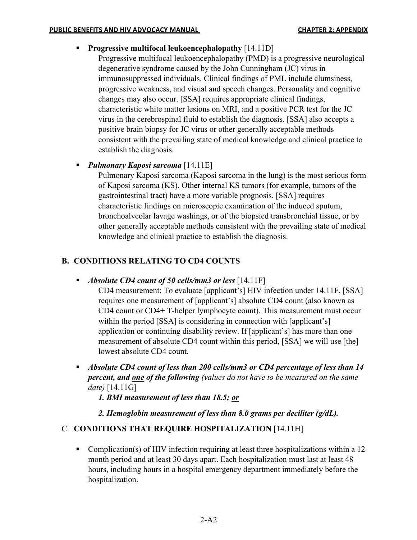## § **Progressive multifocal leukoencephalopathy** [14.11D]

Progressive multifocal leukoencephalopathy (PMD) is a progressive neurological degenerative syndrome caused by the John Cunningham (JC) virus in immunosuppressed individuals. Clinical findings of PML include clumsiness, progressive weakness, and visual and speech changes. Personality and cognitive changes may also occur. [SSA] requires appropriate clinical findings, characteristic white matter lesions on MRI, and a positive PCR test for the JC virus in the cerebrospinal fluid to establish the diagnosis. [SSA] also accepts a positive brain biopsy for JC virus or other generally acceptable methods consistent with the prevailing state of medical knowledge and clinical practice to establish the diagnosis.

§ *Pulmonary Kaposi sarcoma* [14.11E]

Pulmonary Kaposi sarcoma (Kaposi sarcoma in the lung) is the most serious form of Kaposi sarcoma (KS). Other internal KS tumors (for example, tumors of the gastrointestinal tract) have a more variable prognosis. [SSA] requires characteristic findings on microscopic examination of the induced sputum, bronchoalveolar lavage washings, or of the biopsied transbronchial tissue, or by other generally acceptable methods consistent with the prevailing state of medical knowledge and clinical practice to establish the diagnosis.

## **B. CONDITIONS RELATING TO CD4 COUNTS**

§ *Absolute CD4 count of 50 cells/mm3 or less* [14.11F]

CD4 measurement: To evaluate [applicant's] HIV infection under 14.11F, [SSA] requires one measurement of [applicant's] absolute CD4 count (also known as CD4 count or CD4+ T-helper lymphocyte count). This measurement must occur within the period [SSA] is considering in connection with [applicant's] application or continuing disability review. If [applicant's] has more than one measurement of absolute CD4 count within this period, [SSA] we will use [the] lowest absolute CD4 count.

§ *Absolute CD4 count of less than 200 cells/mm3 or CD4 percentage of less than 14 percent, and one of the following (values do not have to be measured on the same date)* [14.11G]

*1. BMI measurement of less than 18.5; or*

*2. Hemoglobin measurement of less than 8.0 grams per deciliter (g/dL).*

## C. **CONDITIONS THAT REQUIRE HOSPITALIZATION** [14.11H]

• Complication(s) of HIV infection requiring at least three hospitalizations within a 12month period and at least 30 days apart. Each hospitalization must last at least 48 hours, including hours in a hospital emergency department immediately before the hospitalization.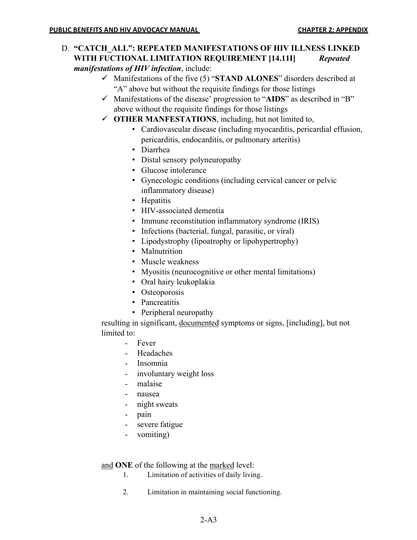## D. **"CATCH\_ALL": REPEATED MANIFESTATIONS OF HIV ILLNESS LINKED WITH FUCTIONAL LIMITATION REQUIREMENT [14.11I]** *Repeated manifestations of HIV infection*, include:

- $\checkmark$  Manifestations of the five (5) "**STAND ALONES**" disorders described at "A" above but without the requisite findings for those listings
- ü Manifestations of the disease' progression to "**AIDS**" as described in "B" above without the requisite findings for those listings
- $\checkmark$  **OTHER MANFESTATIONS**, including, but not limited to,
	- Cardiovascular disease (including myocarditis, pericardial effusion, pericarditis, endocarditis, or pulmonary arteritis)
	- Diarrhea
	- Distal sensory polyneuropathy
	- Glucose intolerance
	- Gynecologic conditions (including cervical cancer or pelvic inflammatory disease)
	- Hepatitis
	- HIV-associated dementia
	- Immune reconstitution inflammatory syndrome (IRIS)
	- Infections (bacterial, fungal, parasitic, or viral)
	- Lipodystrophy (lipoatrophy or lipohypertrophy)
	- Malnutrition
	- Muscle weakness
	- Myositis (neurocognitive or other mental limitations)
	- Oral hairy leukoplakia
	- Osteoporosis
	- Pancreatitis
	- Peripheral neuropathy

resulting in significant, documented symptoms or signs, [including], but not limited to:

- Fever
- Headaches
- Insomnia
- involuntary weight loss
- malaise
- nausea
- night sweats
- pain
- severe fatigue
- vomiting)

and **ONE** of the following at the marked level:

- 1. Limitation of activities of daily living.
- 2. Limitation in maintaining social functioning.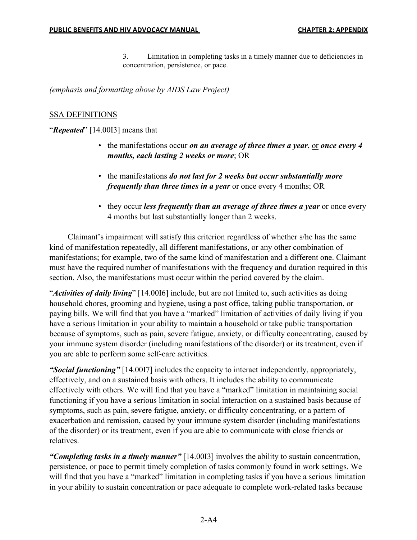3. Limitation in completing tasks in a timely manner due to deficiencies in concentration, persistence, or pace.

*(emphasis and formatting above by AIDS Law Project)*

## SSA DEFINITIONS

"*Repeated*" [14.00I3] means that

- the manifestations occur *on an average of three times a year*, or *once every 4 months, each lasting 2 weeks or more*; OR
- the manifestations *do not last for 2 weeks but occur substantially more frequently than three times in a year* or once every 4 months; OR
- they occur *less frequently than an average of three times a year* or once every 4 months but last substantially longer than 2 weeks.

Claimant's impairment will satisfy this criterion regardless of whether s/he has the same kind of manifestation repeatedly, all different manifestations, or any other combination of manifestations; for example, two of the same kind of manifestation and a different one. Claimant must have the required number of manifestations with the frequency and duration required in this section. Also, the manifestations must occur within the period covered by the claim.

"*Activities of daily living*" [14.00I6] include, but are not limited to, such activities as doing household chores, grooming and hygiene, using a post office, taking public transportation, or paying bills. We will find that you have a "marked" limitation of activities of daily living if you have a serious limitation in your ability to maintain a household or take public transportation because of symptoms, such as pain, severe fatigue, anxiety, or difficulty concentrating, caused by your immune system disorder (including manifestations of the disorder) or its treatment, even if you are able to perform some self-care activities.

*"Social functioning"* [14.00I7] includes the capacity to interact independently, appropriately, effectively, and on a sustained basis with others. It includes the ability to communicate effectively with others. We will find that you have a "marked" limitation in maintaining social functioning if you have a serious limitation in social interaction on a sustained basis because of symptoms, such as pain, severe fatigue, anxiety, or difficulty concentrating, or a pattern of exacerbation and remission, caused by your immune system disorder (including manifestations of the disorder) or its treatment, even if you are able to communicate with close friends or relatives.

*"Completing tasks in a timely manner"* [14.00I3] involves the ability to sustain concentration, persistence, or pace to permit timely completion of tasks commonly found in work settings. We will find that you have a "marked" limitation in completing tasks if you have a serious limitation in your ability to sustain concentration or pace adequate to complete work-related tasks because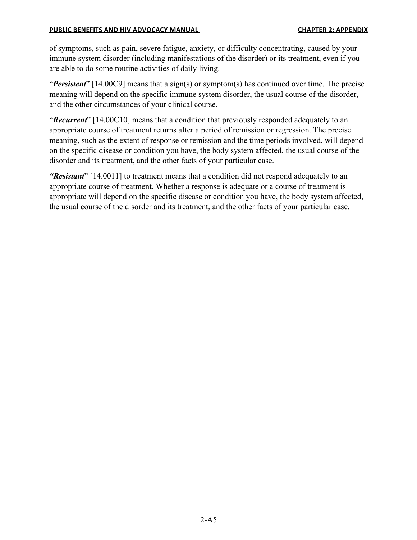of symptoms, such as pain, severe fatigue, anxiety, or difficulty concentrating, caused by your immune system disorder (including manifestations of the disorder) or its treatment, even if you are able to do some routine activities of daily living.

"*Persistent*" [14.00C9] means that a sign(s) or symptom(s) has continued over time. The precise meaning will depend on the specific immune system disorder, the usual course of the disorder, and the other circumstances of your clinical course.

"*Recurrent*" [14.00C10] means that a condition that previously responded adequately to an appropriate course of treatment returns after a period of remission or regression. The precise meaning, such as the extent of response or remission and the time periods involved, will depend on the specific disease or condition you have, the body system affected, the usual course of the disorder and its treatment, and the other facts of your particular case.

*"Resistant*" [14.0011] to treatment means that a condition did not respond adequately to an appropriate course of treatment. Whether a response is adequate or a course of treatment is appropriate will depend on the specific disease or condition you have, the body system affected, the usual course of the disorder and its treatment, and the other facts of your particular case.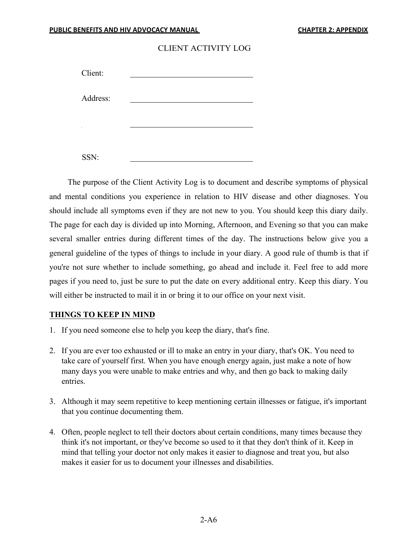## CLIENT ACTIVITY LOG

Client:

Address:

SSN:

The purpose of the Client Activity Log is to document and describe symptoms of physical and mental conditions you experience in relation to HIV disease and other diagnoses. You should include all symptoms even if they are not new to you. You should keep this diary daily. The page for each day is divided up into Morning, Afternoon, and Evening so that you can make several smaller entries during different times of the day. The instructions below give you a general guideline of the types of things to include in your diary. A good rule of thumb is that if you're not sure whether to include something, go ahead and include it. Feel free to add more pages if you need to, just be sure to put the date on every additional entry. Keep this diary. You will either be instructed to mail it in or bring it to our office on your next visit.

## **THINGS TO KEEP IN MIND**

- 1. If you need someone else to help you keep the diary, that's fine.
- 2. If you are ever too exhausted or ill to make an entry in your diary, that's OK. You need to take care of yourself first. When you have enough energy again, just make a note of how many days you were unable to make entries and why, and then go back to making daily entries.
- 3. Although it may seem repetitive to keep mentioning certain illnesses or fatigue, it's important that you continue documenting them.
- 4. Often, people neglect to tell their doctors about certain conditions, many times because they think it's not important, or they've become so used to it that they don't think of it. Keep in mind that telling your doctor not only makes it easier to diagnose and treat you, but also makes it easier for us to document your illnesses and disabilities.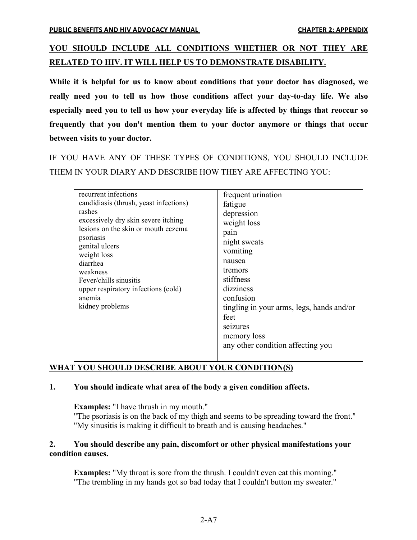# **YOU SHOULD INCLUDE ALL CONDITIONS WHETHER OR NOT THEY ARE RELATED TO HIV. IT WILL HELP US TO DEMONSTRATE DISABILITY.**

**While it is helpful for us to know about conditions that your doctor has diagnosed, we really need you to tell us how those conditions affect your day-to-day life. We also especially need you to tell us how your everyday life is affected by things that reoccur so frequently that you don't mention them to your doctor anymore or things that occur between visits to your doctor.**

IF YOU HAVE ANY OF THESE TYPES OF CONDITIONS, YOU SHOULD INCLUDE THEM IN YOUR DIARY AND DESCRIBE HOW THEY ARE AFFECTING YOU:

| recurrent infections<br>candidiasis (thrush, yeast infections)<br>rashes<br>excessively dry skin severe itching<br>lesions on the skin or mouth eczema<br>psoriasis<br>genital ulcers<br>weight loss<br>diarrhea<br>weakness<br>Fever/chills sinusitis<br>upper respiratory infections (cold)<br>anemia<br>kidney problems | frequent urination<br>fatigue<br>depression<br>weight loss<br>pain<br>night sweats<br>vomiting<br>nausea<br>tremors<br>stiffness<br>dizziness<br>confusion<br>tingling in your arms, legs, hands and/or<br>feet<br>seizures<br>memory loss<br>any other condition affecting you |
|----------------------------------------------------------------------------------------------------------------------------------------------------------------------------------------------------------------------------------------------------------------------------------------------------------------------------|---------------------------------------------------------------------------------------------------------------------------------------------------------------------------------------------------------------------------------------------------------------------------------|
|----------------------------------------------------------------------------------------------------------------------------------------------------------------------------------------------------------------------------------------------------------------------------------------------------------------------------|---------------------------------------------------------------------------------------------------------------------------------------------------------------------------------------------------------------------------------------------------------------------------------|

# **WHAT YOU SHOULD DESCRIBE ABOUT YOUR CONDITION(S)**

## **1. You should indicate what area of the body a given condition affects.**

**Examples:** "I have thrush in my mouth."

"The psoriasis is on the back of my thigh and seems to be spreading toward the front." "My sinusitis is making it difficult to breath and is causing headaches."

## **2. You should describe any pain, discomfort or other physical manifestations your condition causes.**

**Examples:** "My throat is sore from the thrush. I couldn't even eat this morning." "The trembling in my hands got so bad today that I couldn't button my sweater."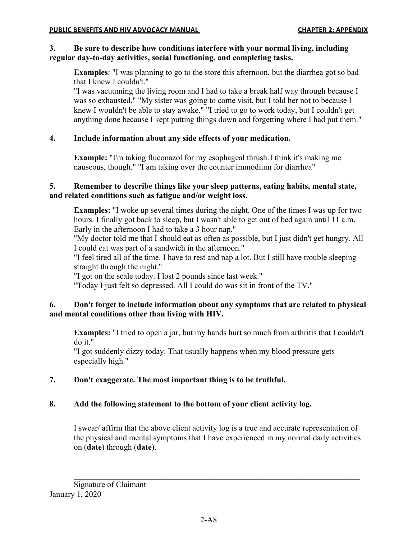## **3. Be sure to describe how conditions interfere with your normal living, including regular day-to-day activities, social functioning, and completing tasks.**

**Examples**: "I was planning to go to the store this afternoon, but the diarrhea got so bad that I knew I couldn't."

"I was vacuuming the living room and I had to take a break half way through because I was so exhausted." "My sister was going to come visit, but I told her not to because I knew I wouldn't be able to stay awake." "I tried to go to work today, but I couldn't get anything done because I kept putting things down and forgetting where I had put them."

## **4. Include information about any side effects of your medication.**

**Example:** "I'm taking fluconazol for my esophageal thrush. I think it's making me nauseous, though." "I am taking over the counter immodium for diarrhea"

## **5. Remember to describe things like your sleep patterns, eating habits, mental state, and related conditions such as fatigue and/or weight loss.**

**Examples:** "I woke up several times during the night. One of the times I was up for two hours. I finally got back to sleep, but I wasn't able to get out of bed again until 11 a.m. Early in the afternoon I had to take a 3 hour nap."

"My doctor told me that I should eat as often as possible, but I just didn't get hungry. All I could eat was part of a sandwich in the afternoon."

"I feel tired all of the time. I have to rest and nap a lot. But I still have trouble sleeping straight through the night."

"I got on the scale today. I lost 2 pounds since last week."

"Today I just felt so depressed. All I could do was sit in front of the TV."

## **6. Don't forget to include information about any symptoms that are related to physical and mental conditions other than living with HIV.**

**Examples:** "I tried to open a jar, but my hands hurt so much from arthritis that I couldn't do it."

"I got suddenly dizzy today. That usually happens when my blood pressure gets especially high."

## **7. Don't exaggerate. The most important thing is to be truthful.**

## **8. Add the following statement to the bottom of your client activity log.**

I swear/ affirm that the above client activity log is a true and accurate representation of the physical and mental symptoms that I have experienced in my normal daily activities on (**date**) through (**date**).

 $\mathcal{L}_\text{max}$  and  $\mathcal{L}_\text{max}$  and  $\mathcal{L}_\text{max}$  and  $\mathcal{L}_\text{max}$  and  $\mathcal{L}_\text{max}$  and  $\mathcal{L}_\text{max}$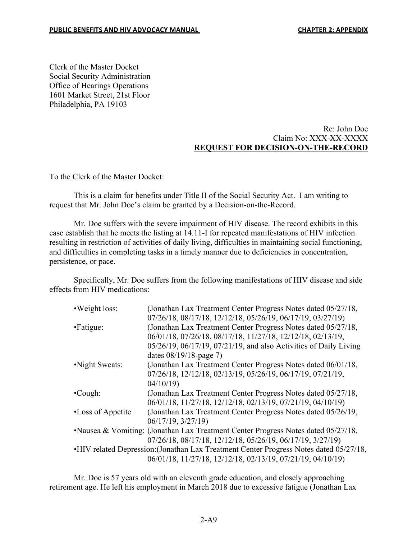Clerk of the Master Docket Social Security Administration Office of Hearings Operations 1601 Market Street, 21st Floor Philadelphia, PA 19103

## Re: John Doe Claim No: XXX-XX-XXXX **REQUEST FOR DECISION-ON-THE-RECORD**

To the Clerk of the Master Docket:

This is a claim for benefits under Title II of the Social Security Act. I am writing to request that Mr. John Doe's claim be granted by a Decision-on-the-Record.

Mr. Doe suffers with the severe impairment of HIV disease. The record exhibits in this case establish that he meets the listing at 14.11-I for repeated manifestations of HIV infection resulting in restriction of activities of daily living, difficulties in maintaining social functioning, and difficulties in completing tasks in a timely manner due to deficiencies in concentration, persistence, or pace.

Specifically, Mr. Doe suffers from the following manifestations of HIV disease and side effects from HIV medications:

| •Weight loss:     | (Jonathan Lax Treatment Center Progress Notes dated 05/27/18,<br>07/26/18, 08/17/18, 12/12/18, 05/26/19, 06/17/19, 03/27/19)                                                                                                   |
|-------------------|--------------------------------------------------------------------------------------------------------------------------------------------------------------------------------------------------------------------------------|
| $\cdot$ Fatigue:  | (Jonathan Lax Treatment Center Progress Notes dated 05/27/18,<br>06/01/18, 07/26/18, 08/17/18, 11/27/18, 12/12/18, 02/13/19,<br>05/26/19, 06/17/19, 07/21/19, and also Activities of Daily Living<br>dates $08/19/18$ -page 7) |
| •Night Sweats:    | (Jonathan Lax Treatment Center Progress Notes dated 06/01/18,<br>07/26/18, 12/12/18, 02/13/19, 05/26/19, 06/17/19, 07/21/19,<br>04/10/19                                                                                       |
| $\cdot$ Cough:    | (Jonathan Lax Treatment Center Progress Notes dated 05/27/18,<br>06/01/18, 11/27/18, 12/12/18, 02/13/19, 07/21/19, 04/10/19)                                                                                                   |
| •Loss of Appetite | (Jonathan Lax Treatment Center Progress Notes dated 05/26/19,<br>$06/17/19$ , $3/27/19$                                                                                                                                        |
|                   | •Nausea & Vomiting: (Jonathan Lax Treatment Center Progress Notes dated $05/27/18$ ,<br>07/26/18, 08/17/18, 12/12/18, 05/26/19, 06/17/19, 3/27/19)                                                                             |
|                   | •HIV related Depression: (Jonathan Lax Treatment Center Progress Notes dated 05/27/18,<br>06/01/18, 11/27/18, 12/12/18, 02/13/19, 07/21/19, 04/10/19)                                                                          |

Mr. Doe is 57 years old with an eleventh grade education, and closely approaching retirement age. He left his employment in March 2018 due to excessive fatigue (Jonathan Lax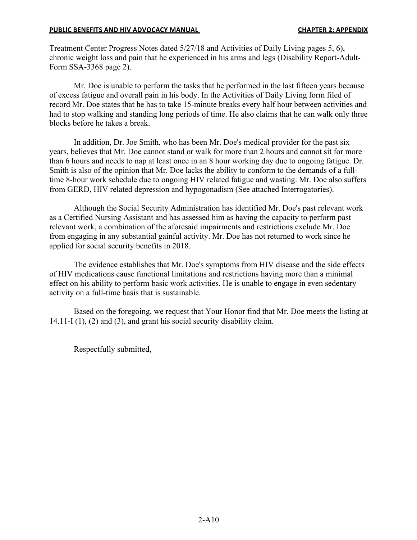Treatment Center Progress Notes dated 5/27/18 and Activities of Daily Living pages 5, 6), chronic weight loss and pain that he experienced in his arms and legs (Disability Report-Adult-Form SSA-3368 page 2).

Mr. Doe is unable to perform the tasks that he performed in the last fifteen years because of excess fatigue and overall pain in his body. In the Activities of Daily Living form filed of record Mr. Doe states that he has to take 15-minute breaks every half hour between activities and had to stop walking and standing long periods of time. He also claims that he can walk only three blocks before he takes a break.

In addition, Dr. Joe Smith, who has been Mr. Doe's medical provider for the past six years, believes that Mr. Doe cannot stand or walk for more than 2 hours and cannot sit for more than 6 hours and needs to nap at least once in an 8 hour working day due to ongoing fatigue. Dr. Smith is also of the opinion that Mr. Doe lacks the ability to conform to the demands of a fulltime 8-hour work schedule due to ongoing HIV related fatigue and wasting. Mr. Doe also suffers from GERD, HIV related depression and hypogonadism (See attached Interrogatories).

Although the Social Security Administration has identified Mr. Doe's past relevant work as a Certified Nursing Assistant and has assessed him as having the capacity to perform past relevant work, a combination of the aforesaid impairments and restrictions exclude Mr. Doe from engaging in any substantial gainful activity. Mr. Doe has not returned to work since he applied for social security benefits in 2018.

The evidence establishes that Mr. Doe's symptoms from HIV disease and the side effects of HIV medications cause functional limitations and restrictions having more than a minimal effect on his ability to perform basic work activities. He is unable to engage in even sedentary activity on a full-time basis that is sustainable.

Based on the foregoing, we request that Your Honor find that Mr. Doe meets the listing at 14.11-I (1), (2) and (3), and grant his social security disability claim.

Respectfully submitted,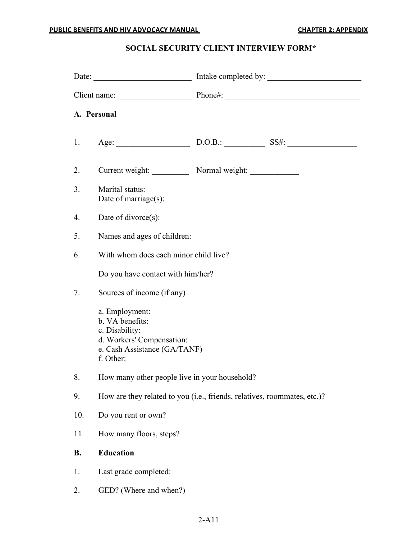# **SOCIAL SECURITY CLIENT INTERVIEW FORM\***

|           | A. Personal                                                                                                                   |  |  |
|-----------|-------------------------------------------------------------------------------------------------------------------------------|--|--|
| 1.        | Age: <u>D.O.B.: SS#:</u>                                                                                                      |  |  |
| 2.        |                                                                                                                               |  |  |
| 3.        | Marital status:<br>Date of marriage $(s)$ :                                                                                   |  |  |
| 4.        | Date of divorce(s):                                                                                                           |  |  |
| 5.        | Names and ages of children:                                                                                                   |  |  |
| 6.        | With whom does each minor child live?                                                                                         |  |  |
|           | Do you have contact with him/her?                                                                                             |  |  |
| 7.        | Sources of income (if any)                                                                                                    |  |  |
|           | a. Employment:<br>b. VA benefits:<br>c. Disability:<br>d. Workers' Compensation:<br>e. Cash Assistance (GA/TANF)<br>f. Other: |  |  |
| 8.        | How many other people live in your household?                                                                                 |  |  |
| 9.        | How are they related to you (i.e., friends, relatives, roommates, etc.)?                                                      |  |  |
| 10.       | Do you rent or own?                                                                                                           |  |  |
| 11.       | How many floors, steps?                                                                                                       |  |  |
| <b>B.</b> | <b>Education</b>                                                                                                              |  |  |
| 1.        | Last grade completed:                                                                                                         |  |  |
| 2.        | GED? (Where and when?)                                                                                                        |  |  |
|           |                                                                                                                               |  |  |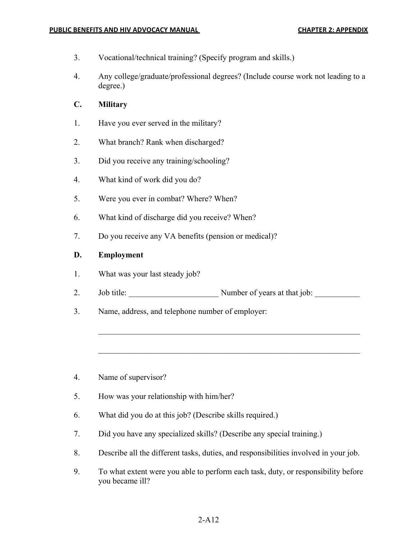- 3. Vocational/technical training? (Specify program and skills.)
- 4. Any college/graduate/professional degrees? (Include course work not leading to a degree.)
- **C. Military**
- 1. Have you ever served in the military?
- 2. What branch? Rank when discharged?
- 3. Did you receive any training/schooling?
- 4. What kind of work did you do?
- 5. Were you ever in combat? Where? When?
- 6. What kind of discharge did you receive? When?
- 7. Do you receive any VA benefits (pension or medical)?

## **D. Employment**

- 1. What was your last steady job?
- 2. Job title: Number of years at that job:

 $\mathcal{L}_\text{max}$  , and the contribution of the contribution of the contribution of the contribution of the contribution of the contribution of the contribution of the contribution of the contribution of the contribution of t

 $\mathcal{L}_\text{max}$  , and the contribution of the contribution of the contribution of the contribution of the contribution of the contribution of the contribution of the contribution of the contribution of the contribution of t

3. Name, address, and telephone number of employer:

- 4. Name of supervisor?
- 5. How was your relationship with him/her?
- 6. What did you do at this job? (Describe skills required.)
- 7. Did you have any specialized skills? (Describe any special training.)
- 8. Describe all the different tasks, duties, and responsibilities involved in your job.
- 9. To what extent were you able to perform each task, duty, or responsibility before you became ill?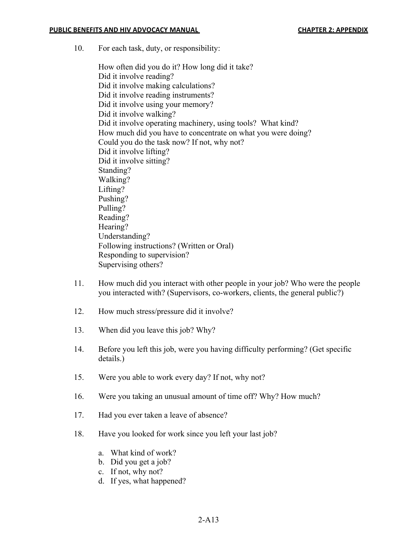10. For each task, duty, or responsibility:

How often did you do it? How long did it take? Did it involve reading? Did it involve making calculations? Did it involve reading instruments? Did it involve using your memory? Did it involve walking? Did it involve operating machinery, using tools? What kind? How much did you have to concentrate on what you were doing? Could you do the task now? If not, why not? Did it involve lifting? Did it involve sitting? Standing? Walking? Lifting? Pushing? Pulling? Reading? Hearing? Understanding? Following instructions? (Written or Oral) Responding to supervision? Supervising others?

- 11. How much did you interact with other people in your job? Who were the people you interacted with? (Supervisors, co-workers, clients, the general public?)
- 12. How much stress/pressure did it involve?
- 13. When did you leave this job? Why?
- 14. Before you left this job, were you having difficulty performing? (Get specific details.)
- 15. Were you able to work every day? If not, why not?
- 16. Were you taking an unusual amount of time off? Why? How much?
- 17. Had you ever taken a leave of absence?
- 18. Have you looked for work since you left your last job?
	- a. What kind of work?
	- b. Did you get a job?
	- c. If not, why not?
	- d. If yes, what happened?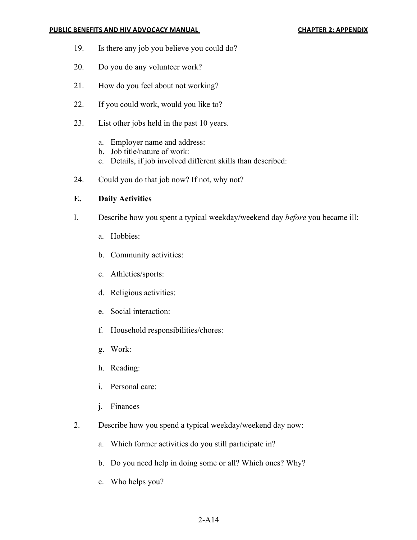- 19. Is there any job you believe you could do?
- 20. Do you do any volunteer work?
- 21. How do you feel about not working?
- 22. If you could work, would you like to?
- 23. List other jobs held in the past 10 years.
	- a. Employer name and address:
	- b. Job title/nature of work:
	- c. Details, if job involved different skills than described:
- 24. Could you do that job now? If not, why not?

## **E. Daily Activities**

- I. Describe how you spent a typical weekday/weekend day *before* you became ill:
	- a. Hobbies:
	- b. Community activities:
	- c. Athletics/sports:
	- d. Religious activities:
	- e. Social interaction:
	- f. Household responsibilities/chores:
	- g. Work:
	- h. Reading:
	- i. Personal care:
	- j. Finances
- 2. Describe how you spend a typical weekday/weekend day now:
	- a. Which former activities do you still participate in?
	- b. Do you need help in doing some or all? Which ones? Why?
	- c. Who helps you?

## 2-A14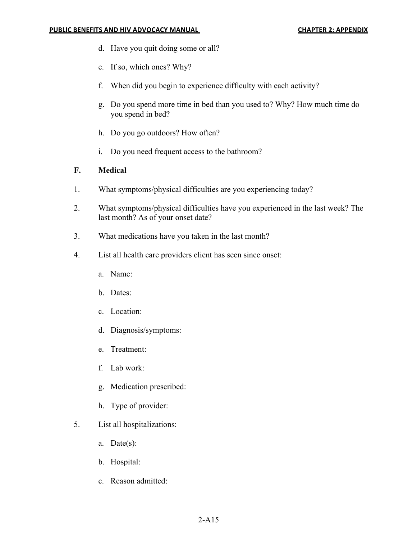- d. Have you quit doing some or all?
- e. If so, which ones? Why?
- f. When did you begin to experience difficulty with each activity?
- g. Do you spend more time in bed than you used to? Why? How much time do you spend in bed?
- h. Do you go outdoors? How often?
- i. Do you need frequent access to the bathroom?

## **F. Medical**

- 1. What symptoms/physical difficulties are you experiencing today?
- 2. What symptoms/physical difficulties have you experienced in the last week? The last month? As of your onset date?
- 3. What medications have you taken in the last month?
- 4. List all health care providers client has seen since onset:
	- a. Name:
	- b. Dates:
	- c. Location:
	- d. Diagnosis/symptoms:
	- e. Treatment:
	- f. Lab work:
	- g. Medication prescribed:
	- h. Type of provider:
- 5. List all hospitalizations:
	- a. Date(s):
	- b. Hospital:
	- c. Reason admitted: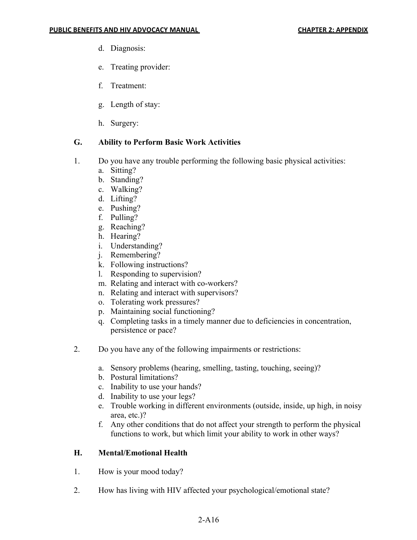- d. Diagnosis:
- e. Treating provider:
- f. Treatment:
- g. Length of stay:
- h. Surgery:

## **G. Ability to Perform Basic Work Activities**

- 1. Do you have any trouble performing the following basic physical activities:
	- a. Sitting?
	- b. Standing?
	- c. Walking?
	- d. Lifting?
	- e. Pushing?
	- f. Pulling?
	- g. Reaching?
	- h. Hearing?
	- i. Understanding?
	- j. Remembering?
	- k. Following instructions?
	- l. Responding to supervision?
	- m. Relating and interact with co-workers?
	- n. Relating and interact with supervisors?
	- o. Tolerating work pressures?
	- p. Maintaining social functioning?
	- q. Completing tasks in a timely manner due to deficiencies in concentration, persistence or pace?
- 2. Do you have any of the following impairments or restrictions:
	- a. Sensory problems (hearing, smelling, tasting, touching, seeing)?
	- b. Postural limitations?
	- c. Inability to use your hands?
	- d. Inability to use your legs?
	- e. Trouble working in different environments (outside, inside, up high, in noisy area, etc.)?
	- f. Any other conditions that do not affect your strength to perform the physical functions to work, but which limit your ability to work in other ways?

## **H. Mental/Emotional Health**

- 1. How is your mood today?
- 2. How has living with HIV affected your psychological/emotional state?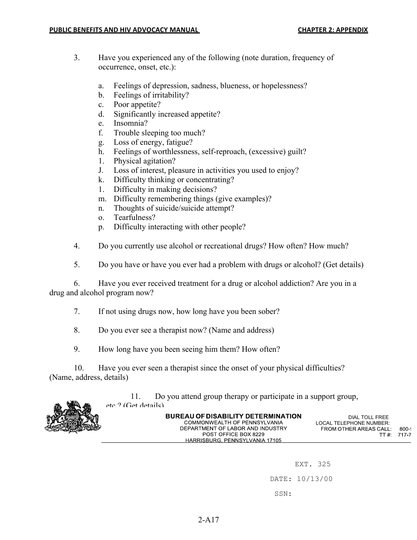- 3. Have you experienced any of the following (note duration, frequency of occurrence, onset, etc.):
	- a. Feelings of depression, sadness, blueness, or hopelessness?
	- b. Feelings of irritability?
	- c. Poor appetite?
	- d. Significantly increased appetite?
	- e. Insomnia?
	- f. Trouble sleeping too much?
	- g. Loss of energy, fatigue?
	- h. Feelings of worthlessness, self-reproach, (excessive) guilt?
	- 1. Physical agitation?
	- J. Loss of interest, pleasure in activities you used to enjoy?
	- k. Difficulty thinking or concentrating?
	- 1. Difficulty in making decisions?
	- m. Difficulty remembering things (give examples)?
	- n. Thoughts of suicide/suicide attempt?
	- o. Tearfulness?
	- p. Difficulty interacting with other people?
- 4. Do you currently use alcohol or recreational drugs? How often? How much?
- 5. Do you have or have you ever had a problem with drugs or alcohol? (Get details)

6. Have you ever received treatment for a drug or alcohol addiction? Are you in a drug and alcohol program now?

7. If not using drugs now, how long have you been sober?

- 8. Do you ever see a therapist now? (Name and address)
- 9. How long have you been seeing him them? How often?

10. Have you ever seen a therapist since the onset of your physical difficulties? (Name, address, details)

> 11. Do you attend group therapy or participate in a support group, etc.? (Get details)

EXT. 325

DATE: 10/13/00

SSN: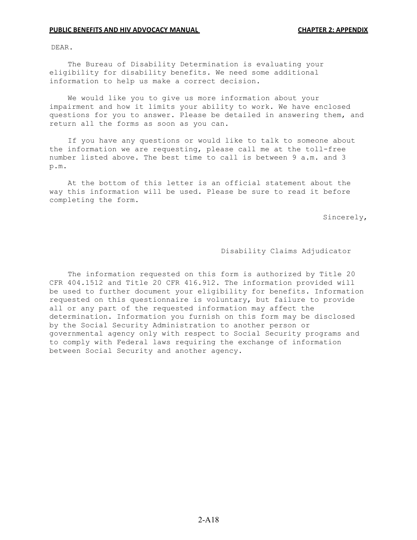DEAR.

The Bureau of Disability Determination is evaluating your eligibility for disability benefits. We need some additional information to help us make a correct decision.

We would like you to give us more information about your impairment and how it limits your ability to work. We have enclosed questions for you to answer. Please be detailed in answering them, and return all the forms as soon as you can.

If you have any questions or would like to talk to someone about the information we are requesting, please call me at the toll-free number listed above. The best time to call is between 9 a.m. and 3 p.m.

At the bottom of this letter is an official statement about the way this information will be used. Please be sure to read it before completing the form.

Sincerely,

#### Disability Claims Adjudicator

The information requested on this form is authorized by Title 20 CFR 404.1512 and Title 20 CFR 416.912. The information provided will be used to further document your eligibility for benefits. Information requested on this questionnaire is voluntary, but failure to provide all or any part of the requested information may affect the determination. Information you furnish on this form may be disclosed by the Social Security Administration to another person or governmental agency only with respect to Social Security programs and to comply with Federal laws requiring the exchange of information between Social Security and another agency.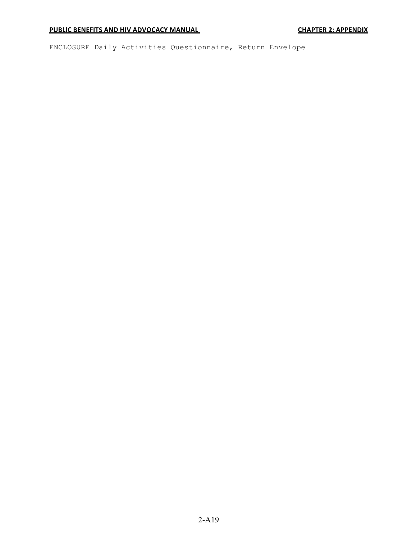ENCLOSURE Daily Activities Questionnaire, Return Envelope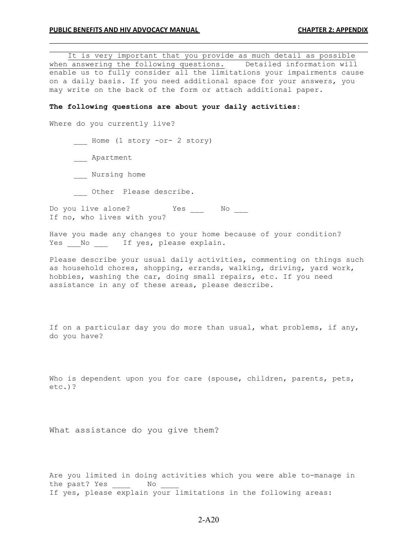It is very important that you provide as much detail as possible when answering the following questions. Detailed information will enable us to fully consider all the limitations your impairments cause on a daily basis. If you need additional space for your answers, you may write on the back of the form or attach additional paper.

#### **The following questions are about your daily activities:**

Where do you currently live?

Home (1 story -or- 2 story)

Apartment

\_\_\_ Nursing home

Other Please describe.

Do you live alone? Yes \_\_\_ No \_\_\_ If no, who lives with you?

Have you made any changes to your home because of your condition? Yes \_\_\_No \_\_\_ If yes, please explain.

Please describe your usual daily activities, commenting on things such as household chores, shopping, errands, walking, driving, yard work, hobbies, washing the car, doing small repairs, etc. If you need assistance in any of these areas, please describe.

If on a particular day you do more than usual, what problems, if any, do you have?

Who is dependent upon you for care (spouse, children, parents, pets, etc.)?

What assistance do you give them?

Are you limited in doing activities which you were able to-manage in the past? Yes \_\_\_\_\_ No If yes, please explain your limitations in the following areas: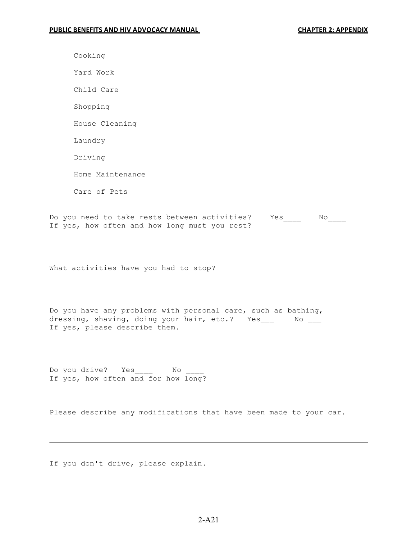Cooking Yard Work Child Care Shopping House Cleaning Laundry Driving Home Maintenance Care of Pets Do you need to take rests between activities? Yes\_\_\_\_ No\_\_\_\_ If yes, how often and how long must you rest? What activities have you had to stop? Do you have any problems with personal care, such as bathing, dressing, shaving, doing your hair, etc.? Yes Mo If yes, please describe them.

Do you drive? Yes\_\_\_\_ No If yes, how often and for how long?

Please describe any modifications that have been made to your car.

If you don't drive, please explain.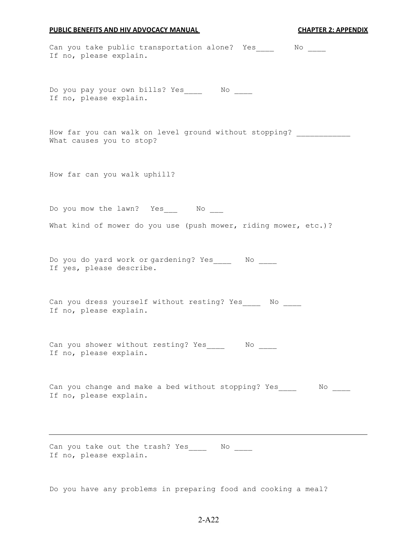| Can you take public transportation alone? Yes_____ No ____<br>If no, please explain.          |
|-----------------------------------------------------------------------------------------------|
| Do you pay your own bills? Yes ______ No _____<br>If no, please explain.                      |
| How far you can walk on level ground without stopping? __________<br>What causes you to stop? |
| How far can you walk uphill?                                                                  |
| Do you mow the lawn? Yes ____ No ____                                                         |
| What kind of mower do you use (push mower, riding mower, etc.)?                               |
| Do you do yard work or gardening? Yes ______ No<br>If yes, please describe.                   |
| Can you dress yourself without resting? Yes_____ No ____<br>If no, please explain.            |
| Can you shower without resting? Yes<br>No<br>If no, please explain.                           |
| Can you change and make a bed without stopping? Yes<br>No<br>If no, please explain.           |
| Can you take out the trash? Yes<br>Νo                                                         |

If no, please explain.

Do you have any problems in preparing food and cooking a meal?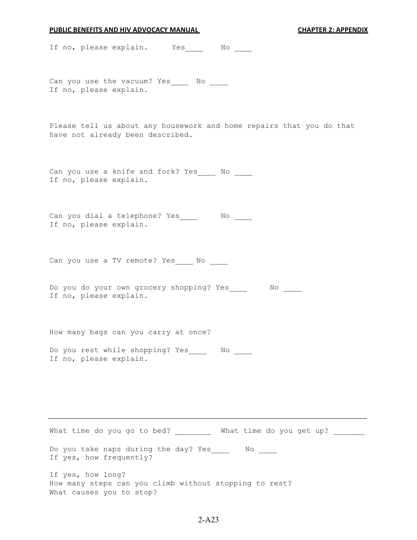If no, please explain. Yes No No

Can you use the vacuum? Yes\_\_\_\_ No \_\_\_\_ If no, please explain.

Please tell us about any housework and home repairs that you do that have not already been described.

Can you use a knife and fork? Yes \_\_\_\_ No \_\_\_\_ If no, please explain.

Can you dial a telephone? Yes\_\_\_\_\_ No \_\_\_\_ If no, please explain.

Can you use a TV remote? Yes\_\_\_\_ No \_\_\_\_

Do you do your own grocery shopping? Yes\_\_\_\_\_ No \_\_\_\_ If no, please explain.

How many bags can you carry at once?

Do you rest while shopping? Yes No If no, please explain.

What time do you go to bed? \_\_\_\_\_\_\_\_\_ What time do you get up? \_\_\_\_\_\_\_ Do you take naps during the day? Yes No If yes, how frequently? If yes, how long? How many steps can you climb without stopping to rest? What causes you to stop?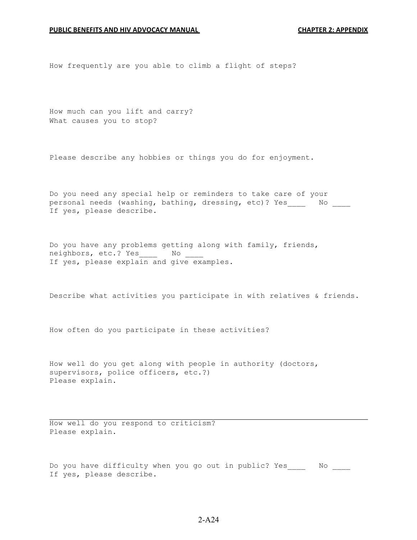How frequently are you able to climb a flight of steps?

How much can you lift and carry? What causes you to stop?

Please describe any hobbies or things you do for enjoyment.

Do you need any special help or reminders to take care of your personal needs (washing, bathing, dressing, etc)? Yes Mo If yes, please describe.

Do you have any problems getting along with family, friends, neighbors, etc.? Yes \_\_\_\_\_ No If yes, please explain and give examples.

Describe what activities you participate in with relatives & friends.

How often do you participate in these activities?

How well do you get along with people in authority (doctors, supervisors, police officers, etc.?) Please explain.

How well do you respond to criticism? Please explain.

Do you have difficulty when you go out in public? Yes\_\_\_\_ No \_\_\_\_ If yes, please describe.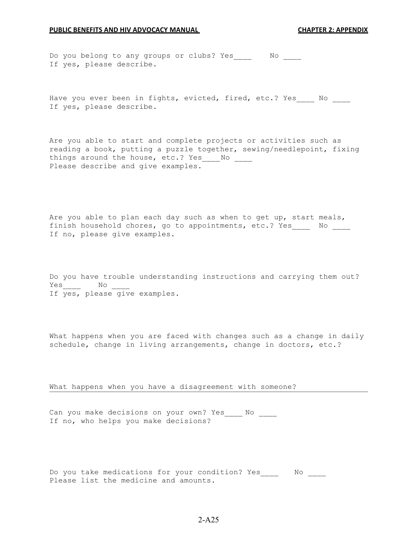Do you belong to any groups or clubs? Yes Wo If yes, please describe.

Have you ever been in fights, evicted, fired, etc.? Yes \_\_\_ No If yes, please describe.

Are you able to start and complete projects or activities such as reading a book, putting a puzzle together, sewing/needlepoint, fixing things around the house, etc.? Yes No Please describe and give examples.

Are you able to plan each day such as when to get up, start meals, finish household chores, go to appointments, etc.? Yes \_\_\_\_ No \_\_\_\_ If no, please give examples.

Do you have trouble understanding instructions and carrying them out? Yes\_\_\_\_ No \_\_\_\_ If yes, please give examples.

What happens when you are faced with changes such as a change in daily schedule, change in living arrangements, change in doctors, etc.?

What happens when you have a disagreement with someone?

Can you make decisions on your own? Yes\_\_\_\_ No \_\_\_\_ If no, who helps you make decisions?

Do you take medications for your condition? Yes Mo Please list the medicine and amounts.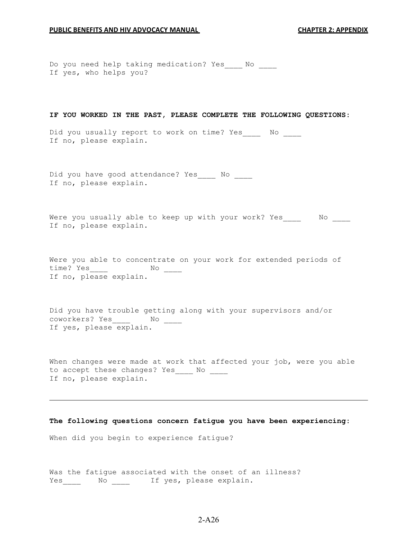Do you need help taking medication? Yes \_\_\_\_ No \_\_\_\_\_ If yes, who helps you?

**IF YOU WORKED IN THE PAST, PLEASE COMPLETE THE FOLLOWING QUESTIONS:**

Did you usually report to work on time? Yes\_\_\_\_ No \_\_\_\_ If no, please explain.

Did you have good attendance? Yes\_\_\_\_ No \_\_\_\_ If no, please explain.

Were you usually able to keep up with your work? Yes\_\_\_\_\_ No \_\_\_\_ If no, please explain.

Were you able to concentrate on your work for extended periods of time? Yes\_\_\_\_ No \_\_\_\_ If no, please explain.

Did you have trouble getting along with your supervisors and/or coworkers? Yes \_\_\_\_ No \_\_\_\_ If yes, please explain.

When changes were made at work that affected your job, were you able to accept these changes? Yes\_\_\_\_ No \_\_\_\_ If no, please explain.

**The following questions concern fatigue you have been experiencing:**

When did you begin to experience fatigue?

Was the fatigue associated with the onset of an illness? Yes<sub>\_\_\_\_</sub> No \_\_\_\_ If yes, please explain.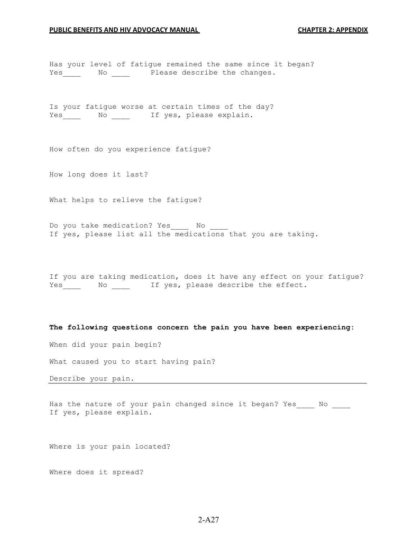Has your level of fatigue remained the same since it began? Yes<sub>\_\_\_\_\_</sub> No \_\_\_\_ Please describe the changes.

Is your fatigue worse at certain times of the day? Yes<sub>\_\_\_\_</sub> No \_\_\_\_ If yes, please explain.

How often do you experience fatigue?

How long does it last?

What helps to relieve the fatigue?

Do you take medication? Yes No If yes, please list all the medications that you are taking.

If you are taking medication, does it have any effect on your fatigue? Yes No If yes, please describe the effect.

**The following questions concern the pain you have been experiencing:** When did your pain begin? What caused you to start having pain?

Describe your pain.

Has the nature of your pain changed since it began? Yes and No  $\sim$ If yes, please explain.

Where is your pain located?

Where does it spread?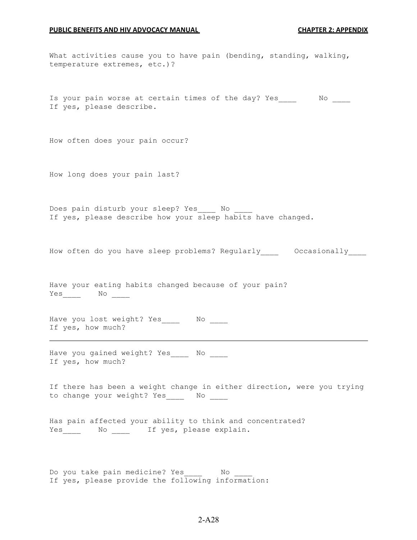What activities cause you to have pain (bending, standing, walking, temperature extremes, etc.)?

Is your pain worse at certain times of the day? Yes \_\_\_\_\_ No If yes, please describe.

How often does your pain occur?

How long does your pain last?

Does pain disturb your sleep? Yes\_\_\_\_ No \_ If yes, please describe how your sleep habits have changed.

How often do you have sleep problems? Regularly \_\_\_\_\_ Occasionally

Have your eating habits changed because of your pain? Yes\_\_\_\_\_\_\_ No \_\_\_\_\_

Have you lost weight? Yes\_\_\_\_\_ No \_\_\_\_ If yes, how much?

Have you gained weight? Yes\_\_\_\_\_ No \_\_\_\_ If yes, how much?

If there has been a weight change in either direction, were you trying to change your weight? Yes \_\_\_\_\_ No \_\_\_\_

Has pain affected your ability to think and concentrated? Yes<sub>\_\_\_\_</sub> No \_\_\_\_ If yes, please explain.

Do you take pain medicine? Yes No If yes, please provide the following information:

#### 2-A28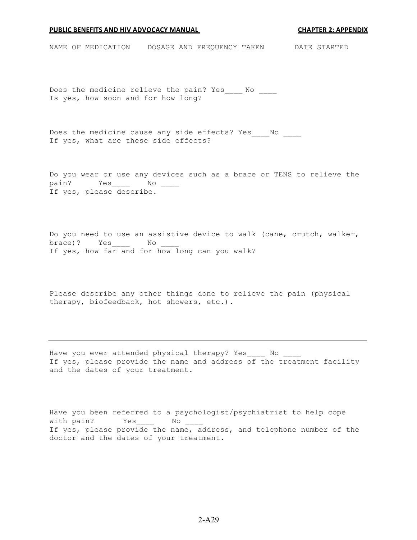#### NAME OF MEDICATION DOSAGE AND FREQUENCY TAKEN DATE STARTED

Does the medicine relieve the pain? Yes \_\_\_\_ No \_\_\_\_ Is yes, how soon and for how long?

Does the medicine cause any side effects? Yes \_\_\_\_No \_\_\_\_\_ If yes, what are these side effects?

Do you wear or use any devices such as a brace or TENS to relieve the pain? Yes\_\_\_\_ No \_\_\_ If yes, please describe.

Do you need to use an assistive device to walk (cane, crutch, walker,  $brace)$ ?  $Yes$ <sub>\_\_\_\_</sub> No If yes, how far and for how long can you walk?

Please describe any other things done to relieve the pain (physical therapy, biofeedback, hot showers, etc.).

Have you ever attended physical therapy? Yes \_\_\_ No If yes, please provide the name and address of the treatment facility and the dates of your treatment.

Have you been referred to a psychologist/psychiatrist to help cope with pain? Yes\_\_\_\_ No \_\_\_ If yes, please provide the name, address, and telephone number of the doctor and the dates of your treatment.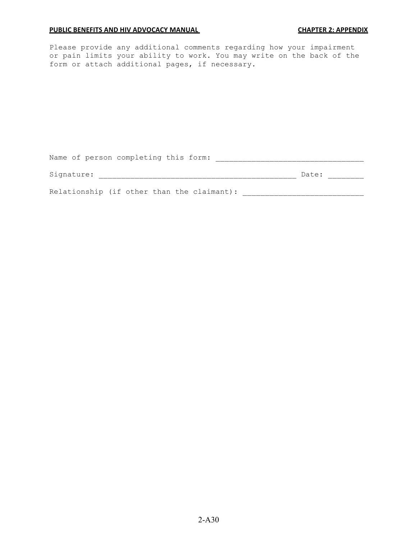Please provide any additional comments regarding how your impairment or pain limits your ability to work. You may write on the back of the form or attach additional pages, if necessary.

|            |  | Name of person completing this form: |  |       |  |
|------------|--|--------------------------------------|--|-------|--|
| Signature: |  |                                      |  | Date: |  |

Relationship (if other than the claimant): \_\_\_\_\_\_\_\_\_\_\_\_\_\_\_\_\_\_\_\_\_\_\_\_\_\_\_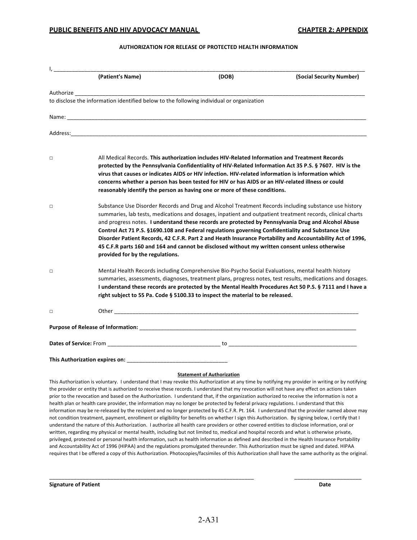#### **AUTHORIZATION FOR RELEASE OF PROTECTED HEALTH INFORMATION**

|        | (Patient's Name)                                                                         | (DOB)                                                                                                                                                                                                                                                                                                                                                                                 | (Social Security Number)                                                                                                                                                                                                                                                                                                                                                                                                                 |
|--------|------------------------------------------------------------------------------------------|---------------------------------------------------------------------------------------------------------------------------------------------------------------------------------------------------------------------------------------------------------------------------------------------------------------------------------------------------------------------------------------|------------------------------------------------------------------------------------------------------------------------------------------------------------------------------------------------------------------------------------------------------------------------------------------------------------------------------------------------------------------------------------------------------------------------------------------|
|        |                                                                                          |                                                                                                                                                                                                                                                                                                                                                                                       |                                                                                                                                                                                                                                                                                                                                                                                                                                          |
|        | to disclose the information identified below to the following individual or organization |                                                                                                                                                                                                                                                                                                                                                                                       |                                                                                                                                                                                                                                                                                                                                                                                                                                          |
| Name:  |                                                                                          |                                                                                                                                                                                                                                                                                                                                                                                       |                                                                                                                                                                                                                                                                                                                                                                                                                                          |
|        |                                                                                          |                                                                                                                                                                                                                                                                                                                                                                                       |                                                                                                                                                                                                                                                                                                                                                                                                                                          |
| $\Box$ |                                                                                          | All Medical Records. This authorization includes HIV-Related Information and Treatment Records<br>virus that causes or indicates AIDS or HIV infection. HIV-related information is information which<br>concerns whether a person has been tested for HIV or has AIDS or an HIV-related illness or could<br>reasonably identify the person as having one or more of these conditions. | protected by the Pennsylvania Confidentiality of HIV-Related Information Act 35 P.S. § 7607. HIV is the                                                                                                                                                                                                                                                                                                                                  |
| $\Box$ | provided for by the regulations.                                                         | Control Act 71 P.S. §1690.108 and Federal regulations governing Confidentiality and Substance Use<br>45 C.F.R parts 160 and 164 and cannot be disclosed without my written consent unless otherwise                                                                                                                                                                                   | Substance Use Disorder Records and Drug and Alcohol Treatment Records including substance use history<br>summaries, lab tests, medications and dosages, inpatient and outpatient treatment records, clinical charts<br>and progress notes. I understand these records are protected by Pennsylvania Drug and Alcohol Abuse<br>Disorder Patient Records, 42 C.F.R. Part 2 and Heath Insurance Portability and Accountability Act of 1996, |
| $\Box$ |                                                                                          | Mental Health Records including Comprehensive Bio-Psycho Social Evaluations, mental health history<br>right subject to 55 Pa. Code § 5100.33 to inspect the material to be released.                                                                                                                                                                                                  | summaries, assessments, diagnoses, treatment plans, progress notes, test results, medications and dosages.<br>I understand these records are protected by the Mental Health Procedures Act 50 P.S. § 7111 and I have a                                                                                                                                                                                                                   |
| $\Box$ |                                                                                          |                                                                                                                                                                                                                                                                                                                                                                                       |                                                                                                                                                                                                                                                                                                                                                                                                                                          |
|        |                                                                                          |                                                                                                                                                                                                                                                                                                                                                                                       |                                                                                                                                                                                                                                                                                                                                                                                                                                          |
|        |                                                                                          |                                                                                                                                                                                                                                                                                                                                                                                       |                                                                                                                                                                                                                                                                                                                                                                                                                                          |
|        | <b>This Authorization expires on: Example 2018</b>                                       |                                                                                                                                                                                                                                                                                                                                                                                       |                                                                                                                                                                                                                                                                                                                                                                                                                                          |
|        |                                                                                          | <b>Statement of Authorization</b>                                                                                                                                                                                                                                                                                                                                                     | This Authorization is voluntary. I understand that I may revoke this Authorization at any time by notifying my provider in writing or by notifying                                                                                                                                                                                                                                                                                       |

the provider or entity that is authorized to receive these records. I understand that my revocation will not have any effect on actions taken prior to the revocation and based on the Authorization. I understand that, if the organization authorized to receive the information is not a health plan or health care provider, the information may no longer be protected by federal privacy regulations. I understand that this information may be re-released by the recipient and no longer protected by 45 C.F.R. Pt. 164. I understand that the provider named above may not condition treatment, payment, enrollment or eligibility for benefits on whether I sign this Authorization. By signing below, I certify that I understand the nature of this Authorization. I authorize all health care providers or other covered entities to disclose information, oral or written, regarding my physical or mental health, including but not limited to, medical and hospital records and what is otherwise private, privileged, protected or personal health information, such as health information as defined and described in the Health Insurance Portability and Accountability Act of 1996 (HIPAA) and the regulations promulgated thereunder. This Authorization must be signed and dated. HIPAA requires that I be offered a copy of this Authorization. Photocopies/facsimiles of this Authorization shall have the same authority as the original.

\_\_\_\_\_\_\_\_\_\_\_\_\_\_\_\_\_\_\_\_\_\_\_\_\_\_\_\_\_\_\_\_\_\_\_\_\_\_\_\_\_\_\_\_\_\_\_\_\_\_\_\_\_\_\_\_\_\_\_\_\_\_\_\_\_\_\_ \_\_\_\_\_\_\_\_\_\_\_\_\_\_\_\_\_\_\_\_\_\_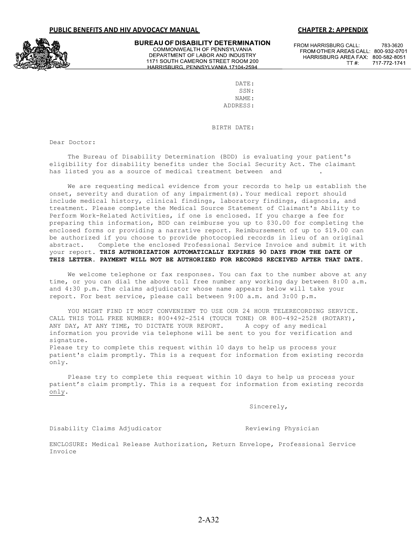

**BUREAU OF DISABILITY DETERMINATION** COMMONWEALTH OF PENNSYLVANIA DEPARTMENT OF LABOR AND INDUSTRY 1171 SOUTH CAMERON STREET ROOM 200 HARRISBURG, PENNSYLVANIA 17104-2594

FROM HARRISBURG CALL: 783-3620 FROM OTHER AREAS CALL: 800-932-0701<br>HARRISBURG AREA FAX: 800-582-8051  $TT#$ 717 772 1741

DATE: SSN: NAME: ADDRESS:

BIRTH DATE:

Dear Doctor:

The Bureau of Disability Determination (BDD) is evaluating your patient's eligibility for disability benefits under the Social Security Act. The claimant has listed you as a source of medical treatment between and

We are requesting medical evidence from your records to help us establish the onset, severity and duration of any impairment(s). Your medical report should include medical history, clinical findings, laboratory findings, diagnosis, and treatment. Please complete the Medical Source Statement of Claimant's Ability to Perform Work-Related Activities, if one is enclosed. If you charge a fee for preparing this information, BDD can reimburse you up to \$30.00 for completing the enclosed forms or providing a narrative report. Reimbursement of up to \$19.00 can be authorized if you choose to provide photocopied records in lieu of an original abstract. Complete the enclosed Professional Service Invoice and submit it with your report. **THIS AUTHORIZATION AUTOMATICALLY EXPIRES 90 DAYS FROM THE DATE OF THIS LETTER. PAYMENT WILL NOT BE AUTHORIZED FOR RECORDS RECEIVED AFTER THAT DATE.**

We welcome telephone or fax responses. You can fax to the number above at any time, or you can dial the above toll free number any working day between 8:00 a.m. and 4:30 p.m. The claims adjudicator whose name appears below will take your report. For best service, please call between 9:00 a.m. and 3:00 p.m.

YOU MIGHT FIND IT MOST CONVENIENT TO USE OUR 24 HOUR TELERECORDING SERVICE. CALL THIS TOLL FREE NUMBER: 800+492-2514 (TOUCH TONE) OR 800-492-2528 (ROTARY), ANY DAY, AT ANY TIME, TO DICTATE YOUR REPORT. A copy of any medical information you provide via telephone will be sent to you for verification and signature. Please try to complete this request within l0 days to help us process your patient's claim promptly. This is a request for information from existing records only.

Please try to complete this request within 10 days to help us process your patient's claim promptly. This is a request for information from existing records only.

Sincerely,

Disability Claims Adjudicator **Reviewing Physician** 

ENCLOSURE: Medical Release Authorization, Return Envelope, Professional Service Invoice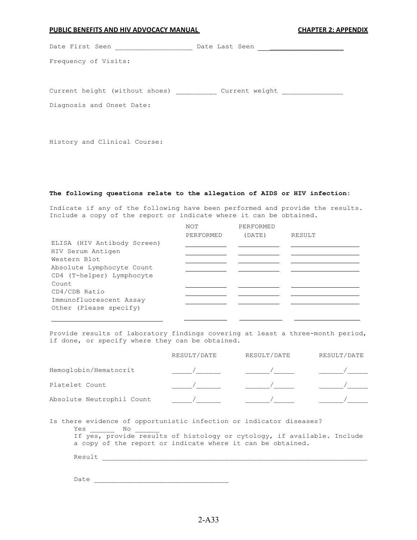| Date First Seen                               | Date Last Seen |
|-----------------------------------------------|----------------|
| Frequency of Visits:                          |                |
|                                               |                |
| Current height (without shoes) Current weight |                |
| Diagnosis and Onset Date:                     |                |
|                                               |                |

History and Clinical Course:

#### **The following questions relate to the allegation of AIDS or HIV infection:**

Indicate if any of the following have been performed and provide the results. Include a copy of the report or indicate where it can be obtained.

|                             | NOT       | PERFORMED |        |
|-----------------------------|-----------|-----------|--------|
|                             | PERFORMED | (DATE)    | RESULT |
| ELISA (HIV Antibody Screen) |           |           |        |
| HIV Serum Antigen           |           |           |        |
| Western Blot                |           |           |        |
| Absolute Lymphocyte Count   |           |           |        |
| CD4 (T-helper) Lymphocyte   |           |           |        |
| Count.                      |           |           |        |
| CD4/CDB Ratio               |           |           |        |
| Immunofluorescent Assay     |           |           |        |
| Other (Please specify)      |           |           |        |
|                             |           |           |        |

Provide results of laboratory findings covering at least a three-month period, if done, or specify where they can be obtained.

|                           | RESULT/DATE | RESULT/DATE | RESULT/DATE |
|---------------------------|-------------|-------------|-------------|
| Hemoglobin/Hematocrit     |             |             |             |
| Platelet Count            |             |             |             |
| Absolute Neutrophil Count |             |             |             |

Is there evidence of opportunistic infection or indicator diseases? Yes \_\_\_\_\_\_ No

It yes, provide results of histology or cytology, if available. Include a copy of the report or indicate where it can be obtained.

Result

Date \_\_\_\_\_\_\_\_\_\_\_\_\_\_\_\_\_\_\_\_\_\_\_\_\_\_\_\_\_\_\_\_\_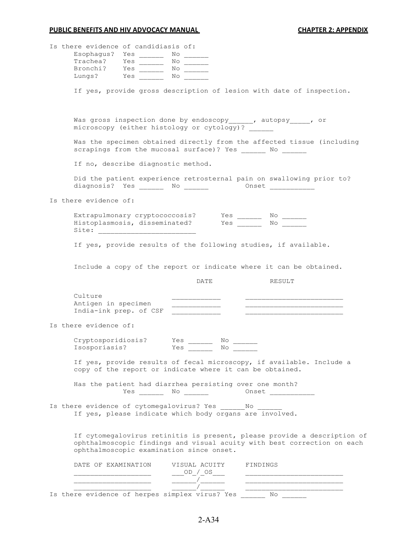| Is there evidence of candidiasis of:                                                                                                                                                                                                           |
|------------------------------------------------------------------------------------------------------------------------------------------------------------------------------------------------------------------------------------------------|
| Esophagus? Yes No<br>Trachea? Yes ________ No _____                                                                                                                                                                                            |
| Bronchi? Yes _______ No _______                                                                                                                                                                                                                |
| Lungs?<br>Yes<br>No                                                                                                                                                                                                                            |
| If yes, provide gross description of lesion with date of inspection.                                                                                                                                                                           |
| Was gross inspection done by endoscopy______, autopsy_____, or<br>microscopy (either histology or cytology)?                                                                                                                                   |
| Was the specimen obtained directly from the affected tissue (including<br>scrapings from the mucosal surface)? Yes ______ No ______                                                                                                            |
| If no, describe diagnostic method.                                                                                                                                                                                                             |
| Did the patient experience retrosternal pain on swallowing prior to?                                                                                                                                                                           |
| Is there evidence of:                                                                                                                                                                                                                          |
| Extrapulmonary cryptococcosis? Yes _______ No _______<br>Histoplasmosis, disseminated? Yes _______ No _______<br>Site:                                                                                                                         |
| If yes, provide results of the following studies, if available.                                                                                                                                                                                |
| Include a copy of the report or indicate where it can be obtained.                                                                                                                                                                             |
| DATE<br>RESULT                                                                                                                                                                                                                                 |
| Culture<br>Antigen in specimen<br>India-ink prep. of CSF                                                                                                                                                                                       |
| Is there evidence of:                                                                                                                                                                                                                          |
| Cryptosporidiosis?<br>Yes<br>No<br>Isosporiasis?<br>Yes<br>No                                                                                                                                                                                  |
| If yes, provide results of fecal microscopy, if available. Include a<br>copy of the report or indicate where it can be obtained.                                                                                                               |
| Has the patient had diarrhea persisting over one month?<br>Yes ________ No ________ Onset _____________                                                                                                                                        |
| Is there evidence of cytomegalovirus? Yes No<br>If yes, please indicate which body organs are involved.                                                                                                                                        |
| If cytomegalovirus retinitis is present, please provide a description of<br>ophthalmoscopic findings and visual acuity with best correction on each<br>ophthalmoscopic examination since onset.                                                |
| DATE OF EXAMINATION VISUAL ACUITY<br>FINDINGS<br>$OD_{-}/_{-}OS$                                                                                                                                                                               |
|                                                                                                                                                                                                                                                |
| $\frac{\frac{1}{2} \left( \frac{1}{2} + \frac{1}{2} \right) \left( \frac{1}{2} + \frac{1}{2} \right) \left( \frac{1}{2} + \frac{1}{2} \right)}{\frac{1}{2} \left( \frac{1}{2} + \frac{1}{2} \right) \left( \frac{1}{2} + \frac{1}{2} \right)}$ |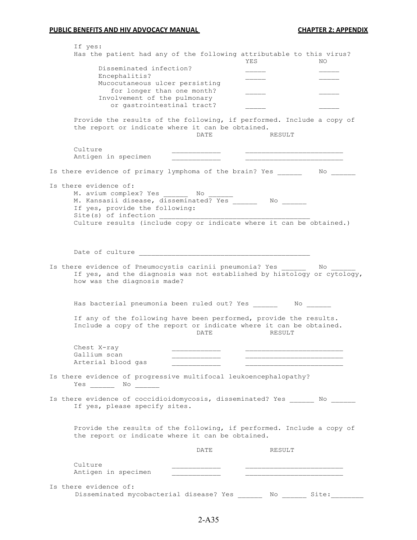| If yes:               |                                                        | Has the patient had any of the following attributable to this virus?                                                                            |        |                    |
|-----------------------|--------------------------------------------------------|-------------------------------------------------------------------------------------------------------------------------------------------------|--------|--------------------|
|                       |                                                        |                                                                                                                                                 | YES    | NO.                |
|                       | Disseminated infection?<br>Encephalitis?               |                                                                                                                                                 |        |                    |
|                       | Mucocutaneous ulcer persisting                         |                                                                                                                                                 |        |                    |
|                       | for longer than one month?                             |                                                                                                                                                 |        |                    |
|                       | Involvement of the pulmonary                           |                                                                                                                                                 |        |                    |
|                       | or gastrointestinal tract?                             |                                                                                                                                                 |        |                    |
|                       |                                                        | Provide the results of the following, if performed. Include a copy of<br>the report or indicate where it can be obtained.<br>DATE               | RESULT |                    |
| Culture               |                                                        |                                                                                                                                                 |        |                    |
|                       | Antigen in specimen                                    |                                                                                                                                                 |        |                    |
|                       |                                                        | Is there evidence of primary lymphoma of the brain? Yes                                                                                         |        | No                 |
| Is there evidence of: |                                                        |                                                                                                                                                 |        |                    |
|                       | M. avium complex? Yes No                               |                                                                                                                                                 |        |                    |
|                       |                                                        | M. Kansasii disease, disseminated? Yes                                                                                                          | No     |                    |
|                       | If yes, provide the following:<br>Site(s) of infection |                                                                                                                                                 |        |                    |
|                       |                                                        | Culture results (include copy or indicate where it can be obtained.)                                                                            |        |                    |
|                       |                                                        |                                                                                                                                                 |        |                    |
|                       | Date of culture                                        |                                                                                                                                                 |        |                    |
|                       | how was the diagnosis made?                            | Is there evidence of Pneumocystis carinii pneumonia? Yes ______<br>If yes, and the diagnosis was not established by histology or cytology,      |        | $\mathbb{N} \circ$ |
|                       |                                                        | Has bacterial pneumonia been ruled out? Yes ________ No _____                                                                                   |        |                    |
|                       |                                                        | If any of the following have been performed, provide the results.<br>Include a copy of the report or indicate where it can be obtained.<br>DATE | RESULT |                    |
| Chest X-ray           |                                                        |                                                                                                                                                 |        |                    |
| Gallium scan          |                                                        |                                                                                                                                                 |        |                    |
|                       | Arterial blood gas                                     |                                                                                                                                                 |        |                    |
|                       |                                                        |                                                                                                                                                 |        |                    |
|                       | $Yes$ No $\_\_$                                        | Is there evidence of progressive multifocal leukoencephalopathy?                                                                                |        |                    |
|                       | If yes, please specify sites.                          | Is there evidence of coccidioidomycosis, disseminated? Yes ______ No                                                                            |        |                    |
|                       |                                                        | Provide the results of the following, if performed. Include a copy of<br>the report or indicate where it can be obtained.                       |        |                    |
|                       |                                                        | DATE                                                                                                                                            | RESULT |                    |
| Culture               |                                                        |                                                                                                                                                 |        |                    |
|                       | Antigen in specimen                                    |                                                                                                                                                 |        |                    |
|                       |                                                        |                                                                                                                                                 |        |                    |
| Is there evidence of: |                                                        |                                                                                                                                                 |        |                    |
|                       |                                                        | Disseminated mycobacterial disease? Yes ________ No _______ Site: _________                                                                     |        |                    |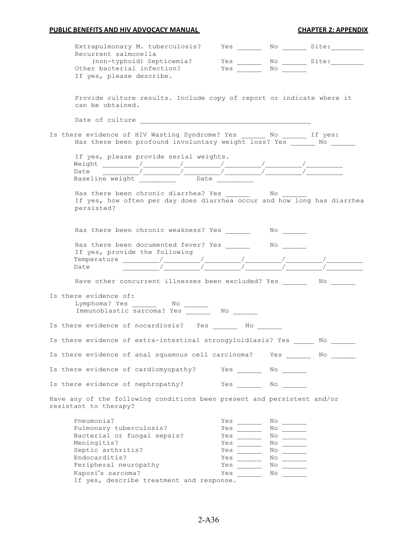| Extrapulmonary M. tuberculosis?                                                                 | Yes       |                                                                                                                                                                                                                                | No _______ Site: |
|-------------------------------------------------------------------------------------------------|-----------|--------------------------------------------------------------------------------------------------------------------------------------------------------------------------------------------------------------------------------|------------------|
| Recurrent salmonella                                                                            |           |                                                                                                                                                                                                                                |                  |
| (non-typhoid) Septicemia? Yes _______ No _______ Site: __________<br>Other bacterial infection? |           | Yes No                                                                                                                                                                                                                         |                  |
| If yes, please describe.                                                                        |           |                                                                                                                                                                                                                                |                  |
|                                                                                                 |           |                                                                                                                                                                                                                                |                  |
| Provide culture results. Include copy of report or indicate where it                            |           |                                                                                                                                                                                                                                |                  |
| can be obtained.                                                                                |           |                                                                                                                                                                                                                                |                  |
|                                                                                                 |           |                                                                                                                                                                                                                                |                  |
| Is there evidence of HIV Wasting Syndrome? Yes _______ No _______ If yes:                       |           |                                                                                                                                                                                                                                |                  |
| Has there been profound involuntary weight loss? Yes _______ No                                 |           |                                                                                                                                                                                                                                |                  |
| If yes, please provide serial weights.                                                          |           |                                                                                                                                                                                                                                |                  |
|                                                                                                 |           |                                                                                                                                                                                                                                |                  |
| Baseline weight __________ Date _________                                                       |           |                                                                                                                                                                                                                                |                  |
|                                                                                                 |           |                                                                                                                                                                                                                                |                  |
| Has there been chronic diarrhea? Yes No No                                                      |           |                                                                                                                                                                                                                                |                  |
| If yes, how often per day does diarrhea occur and how long has diarrhea                         |           |                                                                                                                                                                                                                                |                  |
| persisted?                                                                                      |           |                                                                                                                                                                                                                                |                  |
|                                                                                                 |           |                                                                                                                                                                                                                                |                  |
| Has there been chronic weakness? Yes                                                            |           | No                                                                                                                                                                                                                             |                  |
| Has there been documented fever? Yes                                                            |           | No                                                                                                                                                                                                                             |                  |
| If yes, provide the following                                                                   |           |                                                                                                                                                                                                                                |                  |
|                                                                                                 |           |                                                                                                                                                                                                                                |                  |
|                                                                                                 |           |                                                                                                                                                                                                                                |                  |
| Have other concurrent illnesses been excluded? Yes ________ No ______                           |           |                                                                                                                                                                                                                                |                  |
|                                                                                                 |           |                                                                                                                                                                                                                                |                  |
| Is there evidence of:                                                                           |           |                                                                                                                                                                                                                                |                  |
| Lymphoma? Yes _______ No ______                                                                 | $N \circ$ |                                                                                                                                                                                                                                |                  |
| Immunoblastic sarcoma? Yes                                                                      |           |                                                                                                                                                                                                                                |                  |
| Is there evidence of nocardiosis? Yes No                                                        |           |                                                                                                                                                                                                                                |                  |
| Is there evidence of extra-intestinal strongyloidiasis? Yes Mo                                  |           |                                                                                                                                                                                                                                |                  |
|                                                                                                 |           |                                                                                                                                                                                                                                |                  |
| Is there evidence of anal squamous cell carcinoma?                                              |           | Yes                                                                                                                                                                                                                            | No               |
| Is there evidence of cardiomyopathy?                                                            | Yes       | $\mathbb N$ o $\qquad \qquad \qquad$                                                                                                                                                                                           |                  |
| Is there evidence of nephropathy?                                                               | Yes       | Noted that the state of the state of the state of the state of the state of the state of the state of the state of the state of the state of the state of the state of the state of the state of the state of the state of the |                  |
| Have any of the following conditions been present and persistent and/or                         |           |                                                                                                                                                                                                                                |                  |
| resistant to therapy?                                                                           |           |                                                                                                                                                                                                                                |                  |
| Pneumonia?                                                                                      | Yes       |                                                                                                                                                                                                                                |                  |
| Pulmonary tuberculosis?                                                                         | Yes       | No                                                                                                                                                                                                                             |                  |
| Bacterial or fungal sepsis?                                                                     | Yes       | No                                                                                                                                                                                                                             |                  |
| Meningitis?                                                                                     | Yes       | No                                                                                                                                                                                                                             |                  |
| Septic arthritis?                                                                               | Yes       | No                                                                                                                                                                                                                             |                  |
| Endocarditis?                                                                                   | Yes       | No                                                                                                                                                                                                                             |                  |
| Peripheral neuropathy                                                                           | Yes       | No                                                                                                                                                                                                                             |                  |
| Kaposi's sarcoma?<br>If yes, describe treatment and response.                                   | Yes       | No                                                                                                                                                                                                                             |                  |
|                                                                                                 |           |                                                                                                                                                                                                                                |                  |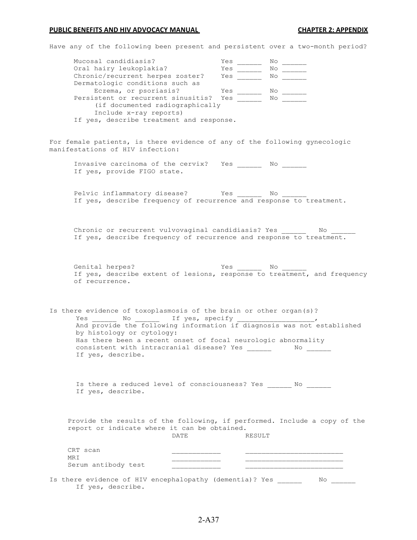Have any of the following been present and persistent over a two-month period?

| Mucosal candidiasis?<br>Oral hairy leukoplakia?<br>Chronic/recurrent herpes zoster?<br>Dermatologic conditions such as<br>Eczema, or psoriasis?<br>Persistent or recurrent sinusitis?<br>(if documented radiographically<br>Include x-ray reports)<br>If yes, describe treatment and response.               | Yes<br>Yes<br>Yes<br>Yes<br>Yes | Noted the North State of the North State of the North State of the North State of the North State of the North State of the North State of the North State of the North State of the North State of the North State of the Nort<br>No<br>No<br>No<br>No |  |
|--------------------------------------------------------------------------------------------------------------------------------------------------------------------------------------------------------------------------------------------------------------------------------------------------------------|---------------------------------|---------------------------------------------------------------------------------------------------------------------------------------------------------------------------------------------------------------------------------------------------------|--|
| For female patients, is there evidence of any of the following gynecologic<br>manifestations of HIV infection:                                                                                                                                                                                               |                                 |                                                                                                                                                                                                                                                         |  |
| Invasive carcinoma of the cervix? Yes ______ No ____<br>If yes, provide FIGO state.                                                                                                                                                                                                                          |                                 |                                                                                                                                                                                                                                                         |  |
| Pelvic inflammatory disease? Yes ______ No ______<br>If yes, describe frequency of recurrence and response to treatment.                                                                                                                                                                                     |                                 |                                                                                                                                                                                                                                                         |  |
| Chronic or recurrent vulvovaginal candidiasis? Yes ________ No _____<br>If yes, describe frequency of recurrence and response to treatment.                                                                                                                                                                  |                                 |                                                                                                                                                                                                                                                         |  |
| Genital herpes?<br>Yes No<br>If yes, describe extent of lesions, response to treatment, and frequency<br>of recurrence.                                                                                                                                                                                      |                                 |                                                                                                                                                                                                                                                         |  |
| Is there evidence of toxoplasmosis of the brain or other organ(s)?<br>And provide the following information if diagnosis was not established<br>by histology or cytology:<br>Has there been a recent onset of focal neurologic abnormality<br>consistent with intracranial disease? Yes<br>If yes, describe. |                                 | $N$ o                                                                                                                                                                                                                                                   |  |
| Is there a reduced level of consciousness? Yes No<br>If yes, describe.                                                                                                                                                                                                                                       |                                 |                                                                                                                                                                                                                                                         |  |
| Provide the results of the following, if performed. Include a copy of the<br>report or indicate where it can be obtained.<br>DATE                                                                                                                                                                            | RESULT                          |                                                                                                                                                                                                                                                         |  |
| CRT scan<br>MRI<br>Serum antibody test                                                                                                                                                                                                                                                                       |                                 |                                                                                                                                                                                                                                                         |  |
| Is there evidence of HIV encephalopathy (dementia)? Yes<br>If yes, describe.                                                                                                                                                                                                                                 |                                 | North                                                                                                                                                                                                                                                   |  |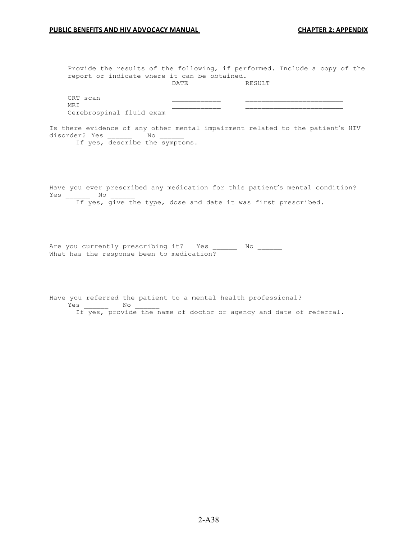Provide the results of the following, if performed. Include a copy of the report or indicate where it can be obtained. DATE RESULT

| CRT scan                 |  |  |
|--------------------------|--|--|
| MR <sup>-</sup>          |  |  |
| Cerebrospinal fluid exam |  |  |

Is there evidence of any other mental impairment related to the patient's HIV disorder? Yes \_\_\_\_\_\_ No If yes, describe the symptoms.

Have you ever prescribed any medication for this patient's mental condition? Yes \_\_\_\_\_\_ No \_\_\_\_\_\_

If yes, give the type, dose and date it was first prescribed.

Are you currently prescribing it? Yes \_\_\_\_\_\_ No \_\_\_\_\_\_ What has the response been to medication?

Have you referred the patient to a mental health professional? Yes \_\_\_\_\_\_ No \_\_\_\_\_\_ If yes, provide the name of doctor or agency and date of referral.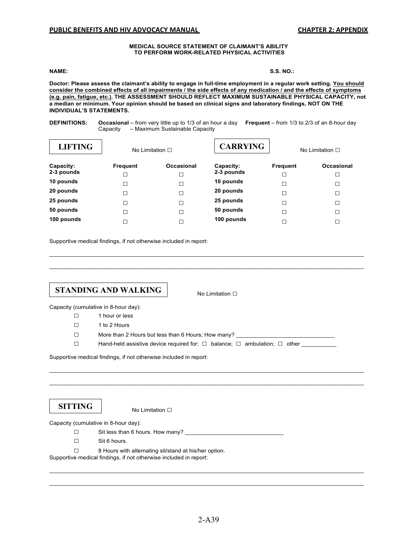#### **MEDICAL SOURCE STATEMENT OF CLAIMANT'S ABILITY TO PERFORM WORK-RELATED PHYSICAL ACTIVITIES**

**NAME: S.S. NO.:**

**Doctor: Please assess the claimant's ability to engage in full-time employment in a regular work setting. You should consider the combined effects of all impairments / the side effects of any medication / and the effects of symptoms (e.g. pain, fatigue, etc.). THE ASSESSMENT SHOULD REFLECT MAXIMUM SUSTAINABLE PHYSICAL CAPACITY, not a median or minimum. Your opinion should be based on clinical signs and laboratory findings, NOT ON THE INDIVIDUAL'S STATEMENTS.**

**DEFINITIONS: Occasional** – from very little up to 1/3 of an hour a day **Frequent** – from 1/3 to 2/3 of an 8-hour day Capacity – Maximum Sustainable Capacity

| <b>LIFTING</b> |          | No Limitation $\Box$ | <b>CARRYING</b> |                 | No Limitation $\Box$ |
|----------------|----------|----------------------|-----------------|-----------------|----------------------|
| Capacity:      | Frequent | Occasional           | Capacity:       | <b>Frequent</b> | Occasional           |
| 2-3 pounds     | Г        | □                    | 2-3 pounds      | П               | □                    |
| 10 pounds      | С        | □                    | 10 pounds       | П               | □                    |
| 20 pounds      | С        | □                    | 20 pounds       | □               | $\Box$               |
| 25 pounds      | С        | □                    | 25 pounds       | □               | $\Box$               |
| 50 pounds      | Е        | □                    | 50 pounds       | П               | $\Box$               |
| 100 pounds     | Г        | □                    | 100 pounds      | П               | □                    |

Supportive medical findings, if not otherwise included in report:

## **STANDING AND WALKING**

No Limitation □

\_\_\_\_\_\_\_\_\_\_\_\_\_\_\_\_\_\_\_\_\_\_\_\_\_\_\_\_\_\_\_\_\_\_\_\_\_\_\_\_\_\_\_\_\_\_\_\_\_\_\_\_\_\_\_\_\_\_\_\_\_\_\_\_\_\_\_\_\_\_\_\_\_\_\_\_\_\_\_\_\_\_\_\_\_\_\_\_\_\_\_\_\_\_\_\_\_\_\_  $\mathcal{L}_\mathcal{L} = \{ \mathcal{L}_\mathcal{L} = \{ \mathcal{L}_\mathcal{L} = \{ \mathcal{L}_\mathcal{L} = \{ \mathcal{L}_\mathcal{L} = \{ \mathcal{L}_\mathcal{L} = \{ \mathcal{L}_\mathcal{L} = \{ \mathcal{L}_\mathcal{L} = \{ \mathcal{L}_\mathcal{L} = \{ \mathcal{L}_\mathcal{L} = \{ \mathcal{L}_\mathcal{L} = \{ \mathcal{L}_\mathcal{L} = \{ \mathcal{L}_\mathcal{L} = \{ \mathcal{L}_\mathcal{L} = \{ \mathcal{L}_\mathcal{$ 

Capacity (cumulative in 8-hour day):

- □ 1 hour or less
- □ 1 to 2 Hours
- □ More than 2 Hours but less than 6 Hours; How many? \_\_\_\_\_\_\_\_\_\_\_\_\_\_\_\_\_\_\_\_\_\_\_\_\_\_\_
- □ Hand-held assistive device required for: □ balance; □ ambulation; □ other

\_\_\_\_\_\_\_\_\_\_\_\_\_\_\_\_\_\_\_\_\_\_\_\_\_\_\_\_\_\_\_\_\_\_\_\_\_\_\_\_\_\_\_\_\_\_\_\_\_\_\_\_\_\_\_\_\_\_\_\_\_\_\_\_\_\_\_\_\_\_\_\_\_\_\_\_\_\_\_\_\_\_\_\_\_\_\_\_\_\_\_\_\_\_\_\_\_\_\_  $\mathcal{L}_\mathcal{L} = \{ \mathcal{L}_\mathcal{L} = \{ \mathcal{L}_\mathcal{L} = \{ \mathcal{L}_\mathcal{L} = \{ \mathcal{L}_\mathcal{L} = \{ \mathcal{L}_\mathcal{L} = \{ \mathcal{L}_\mathcal{L} = \{ \mathcal{L}_\mathcal{L} = \{ \mathcal{L}_\mathcal{L} = \{ \mathcal{L}_\mathcal{L} = \{ \mathcal{L}_\mathcal{L} = \{ \mathcal{L}_\mathcal{L} = \{ \mathcal{L}_\mathcal{L} = \{ \mathcal{L}_\mathcal{L} = \{ \mathcal{L}_\mathcal{$ 

Supportive medical findings, if not otherwise included in report:

## **SITTING**

No Limitation □

Capacity (cumulative in 8-hour day):

- $\square$  Sit less than 6 hours. How many?  $\square$
- □ Sit 6 hours.
- □ 8 Hours with alternating sit/stand at his/her option.

Supportive medical findings, if not otherwise included in report:

\_\_\_\_\_\_\_\_\_\_\_\_\_\_\_\_\_\_\_\_\_\_\_\_\_\_\_\_\_\_\_\_\_\_\_\_\_\_\_\_\_\_\_\_\_\_\_\_\_\_\_\_\_\_\_\_\_\_\_\_\_\_\_\_\_\_\_\_\_\_\_\_\_\_\_\_\_\_\_\_\_\_\_\_\_\_\_\_\_\_\_\_\_\_\_\_\_\_\_  $\mathcal{L}_\mathcal{L} = \{ \mathcal{L}_\mathcal{L} = \{ \mathcal{L}_\mathcal{L} = \{ \mathcal{L}_\mathcal{L} = \{ \mathcal{L}_\mathcal{L} = \{ \mathcal{L}_\mathcal{L} = \{ \mathcal{L}_\mathcal{L} = \{ \mathcal{L}_\mathcal{L} = \{ \mathcal{L}_\mathcal{L} = \{ \mathcal{L}_\mathcal{L} = \{ \mathcal{L}_\mathcal{L} = \{ \mathcal{L}_\mathcal{L} = \{ \mathcal{L}_\mathcal{L} = \{ \mathcal{L}_\mathcal{L} = \{ \mathcal{L}_\mathcal{$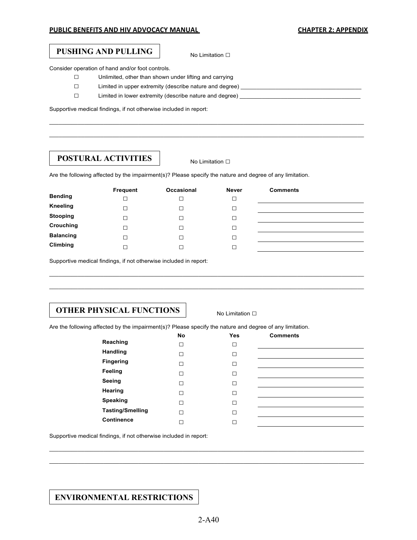## **PUSHING AND PULLING**

No Limitation □

Consider operation of hand and/or foot controls.

- □ Unlimited, other than shown under lifting and carrying
- □ Limited in upper extremity (describe nature and degree)  $□$
- $\square$  Limited in lower extremity (describe nature and degree)  $\square$

Supportive medical findings, if not otherwise included in report:

## **POSTURAL ACTIVITIES**

No Limitation □

\_\_\_\_\_\_\_\_\_\_\_\_\_\_\_\_\_\_\_\_\_\_\_\_\_\_\_\_\_\_\_\_\_\_\_\_\_\_\_\_\_\_\_\_\_\_\_\_\_\_\_\_\_\_\_\_\_\_\_\_\_\_\_\_\_\_\_\_\_\_\_\_\_\_\_\_\_\_\_\_\_\_\_\_\_\_\_\_\_\_\_\_\_\_\_\_\_\_\_ \_\_\_\_\_\_\_\_\_\_\_\_\_\_\_\_\_\_\_\_\_\_\_\_\_\_\_\_\_\_\_\_\_\_\_\_\_\_\_\_\_\_\_\_\_\_\_\_\_\_\_\_\_\_\_\_\_\_\_\_\_\_\_\_\_\_\_\_\_\_\_\_\_\_\_\_\_\_\_\_\_\_\_\_\_\_\_\_\_\_\_\_\_\_\_\_\_\_\_

Are the following affected by the impairment(s)? Please specify the nature and degree of any limitation.

|                  | <b>Frequent</b> | Occasional | <b>Never</b> | <b>Comments</b> |  |
|------------------|-----------------|------------|--------------|-----------------|--|
| <b>Bending</b>   | □               | □          | □            |                 |  |
| <b>Kneeling</b>  | □               | □          | □            |                 |  |
| <b>Stooping</b>  | □               | П          | □            |                 |  |
| Crouching        | □               | □          | □            |                 |  |
| <b>Balancing</b> | □               | □          | □            |                 |  |
| Climbing         | □               | П          | □            |                 |  |
|                  |                 |            |              |                 |  |

 $\mathcal{L}_\mathcal{L} = \{ \mathcal{L}_\mathcal{L} = \{ \mathcal{L}_\mathcal{L} = \{ \mathcal{L}_\mathcal{L} = \{ \mathcal{L}_\mathcal{L} = \{ \mathcal{L}_\mathcal{L} = \{ \mathcal{L}_\mathcal{L} = \{ \mathcal{L}_\mathcal{L} = \{ \mathcal{L}_\mathcal{L} = \{ \mathcal{L}_\mathcal{L} = \{ \mathcal{L}_\mathcal{L} = \{ \mathcal{L}_\mathcal{L} = \{ \mathcal{L}_\mathcal{L} = \{ \mathcal{L}_\mathcal{L} = \{ \mathcal{L}_\mathcal{$ \_\_\_\_\_\_\_\_\_\_\_\_\_\_\_\_\_\_\_\_\_\_\_\_\_\_\_\_\_\_\_\_\_\_\_\_\_\_\_\_\_\_\_\_\_\_\_\_\_\_\_\_\_\_\_\_\_\_\_\_\_\_\_\_\_\_\_\_\_\_\_\_\_\_\_\_\_\_\_\_\_\_\_\_\_\_\_\_\_\_\_\_\_\_\_\_\_\_\_

Supportive medical findings, if not otherwise included in report:

## **OTHER PHYSICAL FUNCTIONS**

No Limitation □

Are the following affected by the impairment(s)? Please specify the nature and degree of any limitation.

|                         | <b>No</b> | <b>Yes</b> | <b>Comments</b> |
|-------------------------|-----------|------------|-----------------|
| Reaching                | П         | □          |                 |
| Handling                | П         | П          |                 |
| <b>Fingering</b>        | П         | П          |                 |
| Feeling                 | П         | □          |                 |
| Seeing                  | П         | П          |                 |
| Hearing                 | П         | П          |                 |
| <b>Speaking</b>         | П         | □          |                 |
| <b>Tasting/Smelling</b> | П         | □          |                 |
| <b>Continence</b>       | П         | Г          |                 |

Supportive medical findings, if not otherwise included in report:

## **ENVIRONMENTAL RESTRICTIONS**

 $\mathcal{L}_\mathcal{L} = \{ \mathcal{L}_\mathcal{L} = \{ \mathcal{L}_\mathcal{L} = \{ \mathcal{L}_\mathcal{L} = \{ \mathcal{L}_\mathcal{L} = \{ \mathcal{L}_\mathcal{L} = \{ \mathcal{L}_\mathcal{L} = \{ \mathcal{L}_\mathcal{L} = \{ \mathcal{L}_\mathcal{L} = \{ \mathcal{L}_\mathcal{L} = \{ \mathcal{L}_\mathcal{L} = \{ \mathcal{L}_\mathcal{L} = \{ \mathcal{L}_\mathcal{L} = \{ \mathcal{L}_\mathcal{L} = \{ \mathcal{L}_\mathcal{$  $\mathcal{L}_\mathcal{L} = \{ \mathcal{L}_\mathcal{L} = \{ \mathcal{L}_\mathcal{L} = \{ \mathcal{L}_\mathcal{L} = \{ \mathcal{L}_\mathcal{L} = \{ \mathcal{L}_\mathcal{L} = \{ \mathcal{L}_\mathcal{L} = \{ \mathcal{L}_\mathcal{L} = \{ \mathcal{L}_\mathcal{L} = \{ \mathcal{L}_\mathcal{L} = \{ \mathcal{L}_\mathcal{L} = \{ \mathcal{L}_\mathcal{L} = \{ \mathcal{L}_\mathcal{L} = \{ \mathcal{L}_\mathcal{L} = \{ \mathcal{L}_\mathcal{$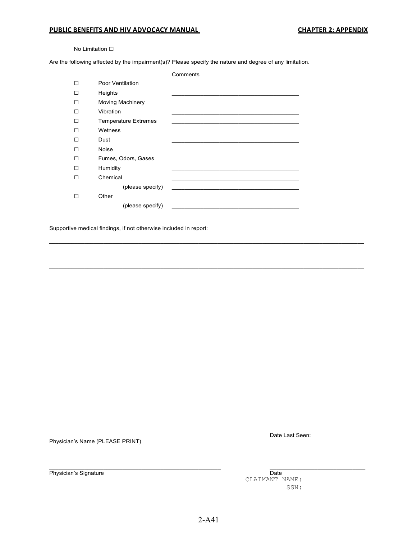### PUBLIC BENEFITS AND HIV ADVOCACY MANUAL

#### No Limitation  $\square$

Are the following affected by the impairment(s)? Please specify the nature and degree of any limitation.

|   |                             | Comments |
|---|-----------------------------|----------|
| П | Poor Ventilation            |          |
|   | Heights                     |          |
|   | <b>Moving Machinery</b>     |          |
|   | Vibration                   |          |
|   | <b>Temperature Extremes</b> |          |
|   | Wetness                     |          |
|   | Dust                        |          |
|   | Noise                       |          |
|   | Fumes, Odors, Gases         |          |
|   | Humidity                    |          |
|   | Chemical                    |          |
|   | (please specify)            |          |
|   | Other                       |          |
|   | (please specify)            |          |

Supportive medical findings, if not otherwise included in report:

Physician's Name (PLEASE PRINT)

Date Last Seen: \_\_\_\_\_\_\_\_\_\_\_\_\_\_\_\_\_\_

Physician's Signature

Date CLAIMANT NAME: SSN: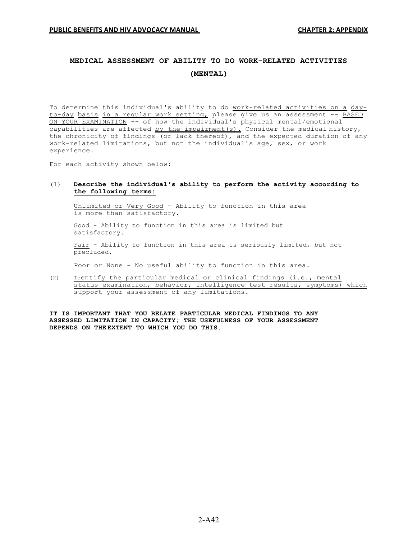## **MEDICAL ASSESSMENT OF ABILITY TO DO WORK-RELATED ACTIVITIES (MENTAL)**

To determine this individual's ability to do work-related activities on a dayto-day basis in a regular work setting, please give us an assessment -- BASED ON YOUR EXAMINATION -- of how the individual's physical mental/emotional capabilities are affected by the impairment(s). Consider the medical history, the chronicity of findings (or lack thereof), and the expected duration of any work-related limitations, but not the individual's age, sex, or work experience.

For each activity shown below:

#### (1) **Describe the individual's ability to perform the activity according to the following terms:**

Unlimited or Very Good - Ability to function in this area is more than satisfactory.

Good - Ability to function in this area is limited but satisfactory.

Fair - Ability to function in this area is seriously limited, but not precluded.

Poor or None - No useful ability to function in this area.

(2) Identify the particular medical or clinical findings (i.e., mental status examination, behavior, intelligence test results, symptoms) which support your assessment of any limitations.

**IT IS IMPORTANT THAT YOU RELATE PARTICULAR MEDICAL FINDINGS TO ANY ASSESSED LIMITATION IN CAPACITY; THE USEFULNESS OF YOUR ASSESSMENT DEPENDS ON THE EXTENT TO WHICH YOU DO THIS.**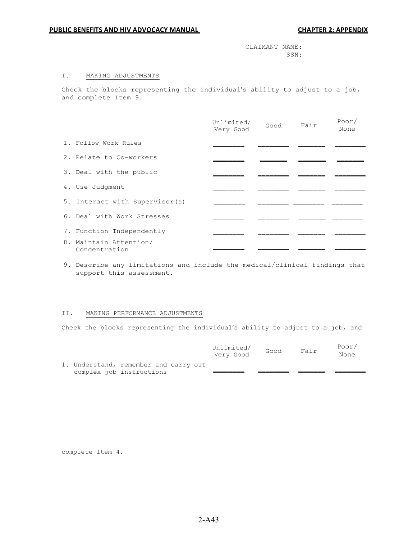CLAIMANT NAME: SSN:

#### I. MAKING ADJUSTMENTS

Check the blocks representing the individual's ability to adjust to a job, and complete Item 9.

|                                         | Unlimited/<br>Very Good | Good | Fair | Poor/<br>None |
|-----------------------------------------|-------------------------|------|------|---------------|
| 1. Follow Work Rules                    |                         |      |      |               |
| 2. Relate to Co-workers                 |                         |      |      |               |
| 3. Deal with the public                 |                         |      |      |               |
| 4. Use Judgment                         |                         |      |      |               |
| 5. Interact with Supervisor (s)         |                         |      |      |               |
| 6. Deal with Work Stresses              |                         |      |      |               |
| 7. Function Independently               |                         |      |      |               |
| 8. Maintain Attention/<br>Concentration |                         |      |      |               |

9. Describe any limitations and include the medical/clinical findings that support this assessment.

#### II. MAKING PERFORMANCE ADJUSTMENTS

Check the blocks representing the individual's ability to adjust to a job, and

|  |                                                                   | Unlimited/<br>Very Good | Good | Fair | Poor/<br>None |
|--|-------------------------------------------------------------------|-------------------------|------|------|---------------|
|  | 1. Understand, remember and carry out<br>complex job instructions |                         |      |      |               |

complete Item 4.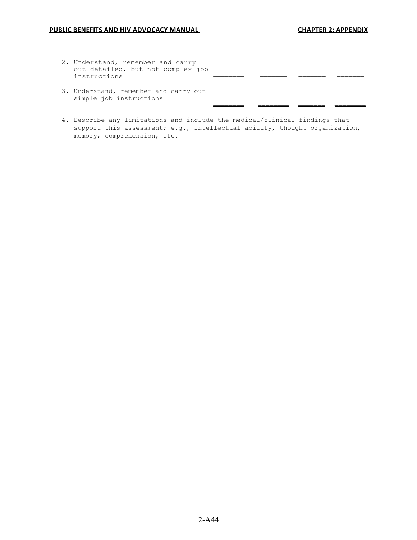- 2. Understand, remember and carry out detailed, but not complex job instructions \_\_\_\_\_\_\_\_ \_\_\_\_\_\_\_ \_\_\_\_\_\_\_ \_\_\_\_\_\_\_
- 3. Understand, remember and carry out simple job instructions \_\_\_\_\_\_\_\_ \_\_\_\_\_\_\_\_ \_\_\_\_\_\_\_ \_\_\_\_\_\_\_\_
- 4. Describe any limitations and include the medical/clinical findings that support this assessment; e.g., intellectual ability, thought organization, memory, comprehension, etc.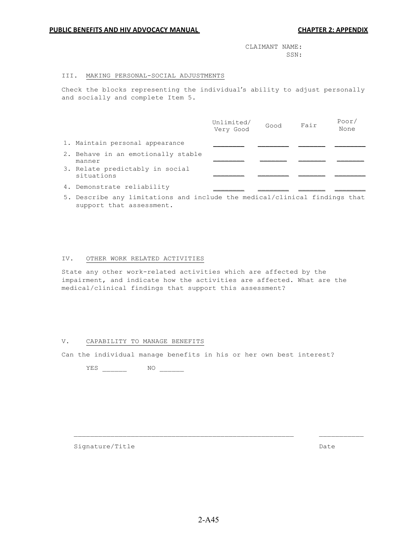CLAIMANT NAME: SSN:

#### III. MAKING PERSONAL-SOCIAL ADJUSTMENTS

Check the blocks representing the individual's ability to adjust personally and socially and complete Item 5.

|                                                                                                    | Unlimited/<br>Very Good | Good | Fair | Poor/<br>None |
|----------------------------------------------------------------------------------------------------|-------------------------|------|------|---------------|
| 1. Maintain personal appearance                                                                    |                         |      |      |               |
| 2. Behave in an emotionally stable<br>manner                                                       |                         |      |      |               |
| 3. Relate predictably in social<br>situations                                                      |                         |      |      |               |
| $\overline{a}$ , and $\overline{a}$ , and $\overline{a}$ , and $\overline{a}$ , and $\overline{a}$ |                         |      |      |               |

- 4. Demonstrate reliability
- 5. Describe any limitations and include the medical/clinical findings that support that assessment.

#### IV. OTHER WORK RELATED ACTIVITIES

State any other work-related activities which are affected by the impairment, and indicate how the activities are affected. What are the medical/clinical findings that support this assessment?

#### V. CAPABILITY TO MANAGE BENEFITS

Can the individual manage benefits in his or her own best interest?

YES \_\_\_\_\_\_\_\_ NO \_\_\_\_\_\_\_

Signature/Title Date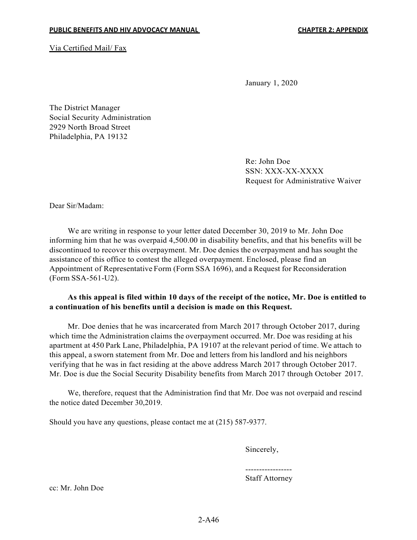Via Certified Mail/ Fax

January 1, 2020

The District Manager Social Security Administration 2929 North Broad Street Philadelphia, PA 19132

> Re: John Doe SSN: XXX-XX-XXXX Request for Administrative Waiver

Dear Sir/Madam:

We are writing in response to your letter dated December 30, 2019 to Mr. John Doe informing him that he was overpaid 4,500.00 in disability benefits, and that his benefits will be discontinued to recover this overpayment. Mr. Doe denies the overpayment and has sought the assistance of this office to contest the alleged overpayment. Enclosed, please find an Appointment of Representative Form (Form SSA 1696), and a Request for Reconsideration (Form SSA-561-U2).

## **As this appeal is filed within 10 days of the receipt of the notice, Mr. Doe is entitled to a continuation of his benefits until a decision is made on this Request.**

Mr. Doe denies that he was incarcerated from March 2017 through October 2017, during which time the Administration claims the overpayment occurred. Mr. Doe was residing at his apartment at 450 Park Lane, Philadelphia, PA 19107 at the relevant period of time. We attach to this appeal, a sworn statement from Mr. Doe and letters from his landlord and his neighbors verifying that he was in fact residing at the above address March 2017 through October 2017. Mr. Doe is due the Social Security Disability benefits from March 2017 through October 2017.

We, therefore, request that the Administration find that Mr. Doe was not overpaid and rescind the notice dated December 30,2019.

Should you have any questions, please contact me at (215) 587-9377.

Sincerely,

----------------- Staff Attorney

cc: Mr. John Doe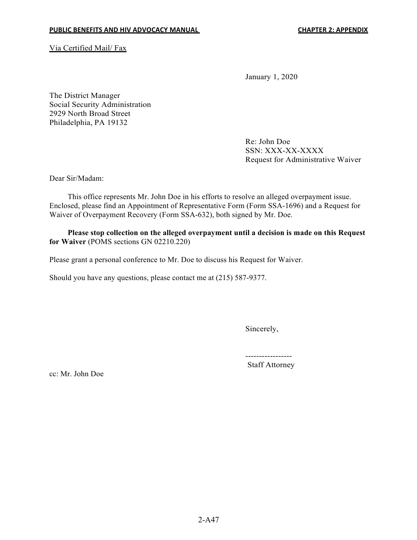Via Certified Mail/ Fax

January 1, 2020

The District Manager Social Security Administration 2929 North Broad Street Philadelphia, PA 19132

> Re: John Doe SSN: XXX-XX-XXXX Request for Administrative Waiver

Dear Sir/Madam:

This office represents Mr. John Doe in his efforts to resolve an alleged overpayment issue. Enclosed, please find an Appointment of Representative Form (Form SSA-1696) and a Request for Waiver of Overpayment Recovery (Form SSA-632), both signed by Mr. Doe.

**Please stop collection on the alleged overpayment until a decision is made on this Request for Waiver** (POMS sections GN 02210.220)

Please grant a personal conference to Mr. Doe to discuss his Request for Waiver.

Should you have any questions, please contact me at (215) 587-9377.

Sincerely,

----------------- Staff Attorney

cc: Mr. John Doe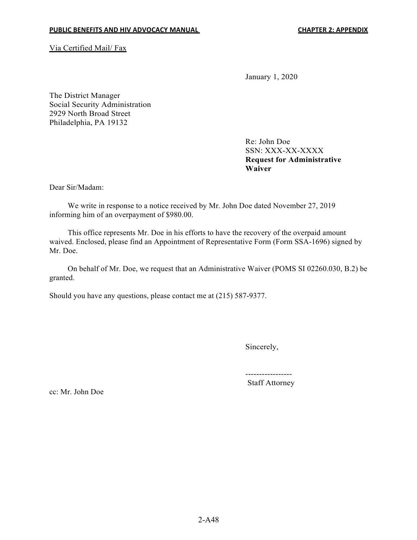Via Certified Mail/ Fax

January 1, 2020

The District Manager Social Security Administration 2929 North Broad Street Philadelphia, PA 19132

> Re: John Doe SSN: XXX-XX-XXXX **Request for Administrative Waiver**

Dear Sir/Madam:

We write in response to a notice received by Mr. John Doe dated November 27, 2019 informing him of an overpayment of \$980.00.

This office represents Mr. Doe in his efforts to have the recovery of the overpaid amount waived. Enclosed, please find an Appointment of Representative Form (Form SSA-1696) signed by Mr. Doe.

On behalf of Mr. Doe, we request that an Administrative Waiver (POMS SI 02260.030, B.2) be granted.

Should you have any questions, please contact me at (215) 587-9377.

Sincerely,

-----------------

Staff Attorney

cc: Mr. John Doe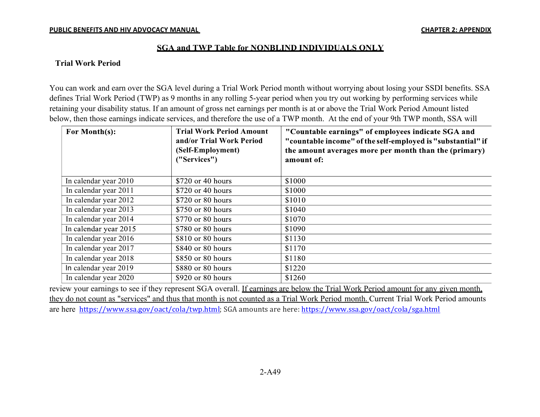## **SGA and TWP Table for NONBLIND INDIVIDUALS ONLY**

## **Trial Work Period**

You can work and earn over the SGA level during a Trial Work Period month without worrying about losing your SSDI benefits. SSA defines Trial Work Period (TWP) as 9 months in any rolling 5-year period when you try out working by performing services while retaining your disability status. If an amount of gross net earnings per month is at or above the Trial Work Period Amount listed below, then those earnings indicate services, and therefore the use of a TWP month. At the end of your 9th TWP month, SSA will

| For Month(s):         | <b>Trial Work Period Amount</b><br>and/or Trial Work Period<br>(Self-Employment)<br>("Services") | "Countable earnings" of employees indicate SGA and<br>"countable income" of the self-employed is "substantial" if<br>the amount averages more per month than the (primary)<br>amount of: |
|-----------------------|--------------------------------------------------------------------------------------------------|------------------------------------------------------------------------------------------------------------------------------------------------------------------------------------------|
| In calendar year 2010 | \$720 or 40 hours                                                                                | \$1000                                                                                                                                                                                   |
| In calendar year 2011 | \$720 or 40 hours                                                                                | \$1000                                                                                                                                                                                   |
| In calendar year 2012 | \$720 or 80 hours                                                                                | \$1010                                                                                                                                                                                   |
| In calendar year 2013 | \$750 or 80 hours                                                                                | \$1040                                                                                                                                                                                   |
| In calendar year 2014 | \$770 or 80 hours                                                                                | \$1070                                                                                                                                                                                   |
| In calendar year 2015 | \$780 or 80 hours                                                                                | \$1090                                                                                                                                                                                   |
| In calendar year 2016 | \$810 or 80 hours                                                                                | \$1130                                                                                                                                                                                   |
| In calendar year 2017 | \$840 or 80 hours                                                                                | \$1170                                                                                                                                                                                   |
| In calendar year 2018 | \$850 or 80 hours                                                                                | \$1180                                                                                                                                                                                   |
| In calendar year 2019 | \$880 or 80 hours                                                                                | \$1220                                                                                                                                                                                   |
| In calendar year 2020 | \$920 or 80 hours                                                                                | \$1260                                                                                                                                                                                   |

review your earnings to see if they represent SGA overall. If earnings are below the Trial Work Period amount for any given month, they do not count as "services" and thus that month is not counted as a Trial Work Period month. Current Trial Work Period amounts are here https://www.ssa.gov/oact/cola/twp.html; SGA amounts are here: https://www.ssa.gov/oact/cola/sga.html